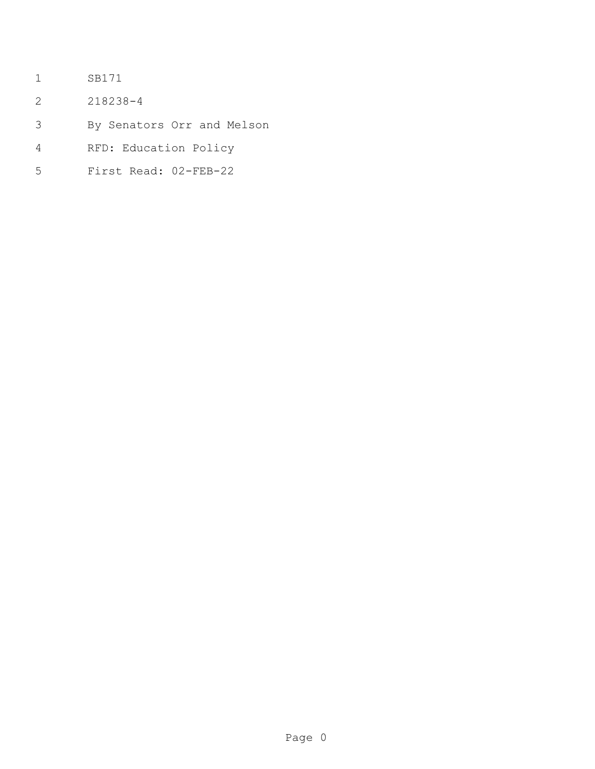- SB171
- 218238-4
- By Senators Orr and Melson
- RFD: Education Policy
- First Read: 02-FEB-22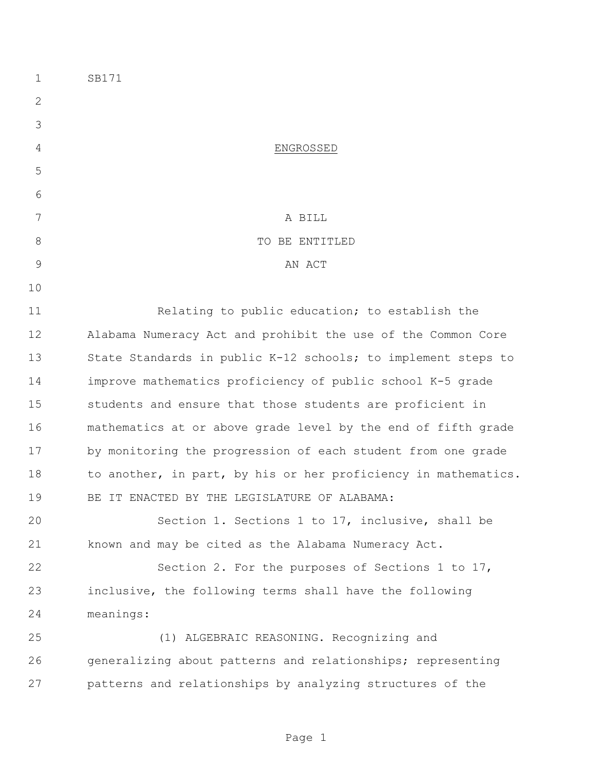| $\mathbf 1$   | SB171                                                          |  |
|---------------|----------------------------------------------------------------|--|
| $\mathbf{2}$  |                                                                |  |
| 3             |                                                                |  |
| 4             | ENGROSSED                                                      |  |
| 5             |                                                                |  |
| 6             |                                                                |  |
| 7             | A BILL                                                         |  |
| 8             | TO BE ENTITLED                                                 |  |
| $\mathcal{G}$ | AN ACT                                                         |  |
| 10            |                                                                |  |
| 11            | Relating to public education; to establish the                 |  |
| 12            | Alabama Numeracy Act and prohibit the use of the Common Core   |  |
| 13            | State Standards in public K-12 schools; to implement steps to  |  |
| 14            | improve mathematics proficiency of public school K-5 grade     |  |
| 15            | students and ensure that those students are proficient in      |  |
| 16            | mathematics at or above grade level by the end of fifth grade  |  |
| 17            | by monitoring the progression of each student from one grade   |  |
| 18            | to another, in part, by his or her proficiency in mathematics. |  |
| 19            | BE IT ENACTED BY THE LEGISLATURE OF ALABAMA:                   |  |
| 20            | Section 1. Sections 1 to 17, inclusive, shall be               |  |
| 21            | known and may be cited as the Alabama Numeracy Act.            |  |
| 22            | Section 2. For the purposes of Sections 1 to 17,               |  |
| 23            | inclusive, the following terms shall have the following        |  |
| 24            | meanings:                                                      |  |
| 25            | (1) ALGEBRAIC REASONING. Recognizing and                       |  |
| 26            | generalizing about patterns and relationships; representing    |  |
| 27            | patterns and relationships by analyzing structures of the      |  |
|               |                                                                |  |

Page 1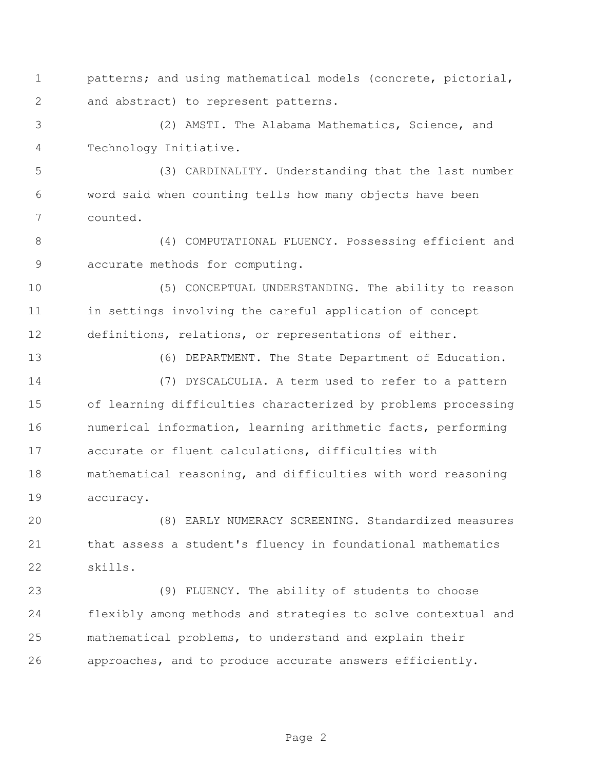patterns; and using mathematical models (concrete, pictorial, and abstract) to represent patterns.

 (2) AMSTI. The Alabama Mathematics, Science, and Technology Initiative.

 (3) CARDINALITY. Understanding that the last number word said when counting tells how many objects have been counted.

 (4) COMPUTATIONAL FLUENCY. Possessing efficient and accurate methods for computing.

 (5) CONCEPTUAL UNDERSTANDING. The ability to reason in settings involving the careful application of concept definitions, relations, or representations of either.

(6) DEPARTMENT. The State Department of Education.

 (7) DYSCALCULIA. A term used to refer to a pattern of learning difficulties characterized by problems processing numerical information, learning arithmetic facts, performing accurate or fluent calculations, difficulties with mathematical reasoning, and difficulties with word reasoning accuracy.

 (8) EARLY NUMERACY SCREENING. Standardized measures that assess a student's fluency in foundational mathematics skills.

 (9) FLUENCY. The ability of students to choose flexibly among methods and strategies to solve contextual and mathematical problems, to understand and explain their approaches, and to produce accurate answers efficiently.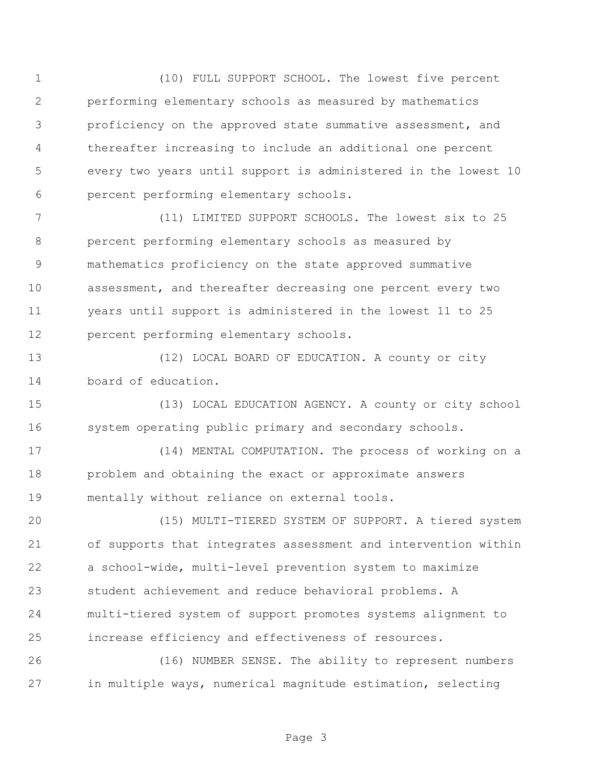(10) FULL SUPPORT SCHOOL. The lowest five percent performing elementary schools as measured by mathematics proficiency on the approved state summative assessment, and thereafter increasing to include an additional one percent every two years until support is administered in the lowest 10 percent performing elementary schools.

 (11) LIMITED SUPPORT SCHOOLS. The lowest six to 25 percent performing elementary schools as measured by mathematics proficiency on the state approved summative assessment, and thereafter decreasing one percent every two years until support is administered in the lowest 11 to 25 percent performing elementary schools.

13 (12) LOCAL BOARD OF EDUCATION. A county or city board of education.

 (13) LOCAL EDUCATION AGENCY. A county or city school system operating public primary and secondary schools.

 (14) MENTAL COMPUTATION. The process of working on a problem and obtaining the exact or approximate answers mentally without reliance on external tools.

 (15) MULTI-TIERED SYSTEM OF SUPPORT. A tiered system of supports that integrates assessment and intervention within a school-wide, multi-level prevention system to maximize student achievement and reduce behavioral problems. A multi-tiered system of support promotes systems alignment to increase efficiency and effectiveness of resources.

 (16) NUMBER SENSE. The ability to represent numbers in multiple ways, numerical magnitude estimation, selecting

Page 3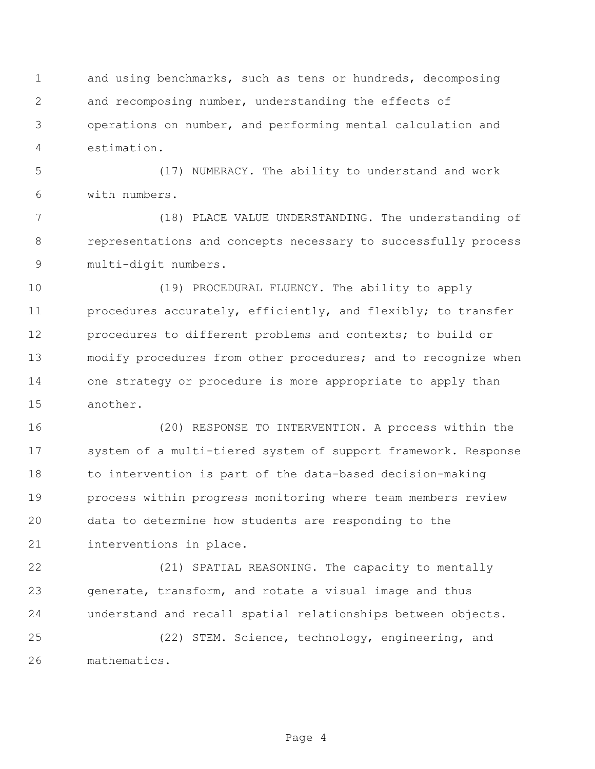and using benchmarks, such as tens or hundreds, decomposing and recomposing number, understanding the effects of operations on number, and performing mental calculation and estimation.

 (17) NUMERACY. The ability to understand and work with numbers.

 (18) PLACE VALUE UNDERSTANDING. The understanding of representations and concepts necessary to successfully process multi-digit numbers.

 (19) PROCEDURAL FLUENCY. The ability to apply procedures accurately, efficiently, and flexibly; to transfer procedures to different problems and contexts; to build or modify procedures from other procedures; and to recognize when one strategy or procedure is more appropriate to apply than another.

 (20) RESPONSE TO INTERVENTION. A process within the system of a multi-tiered system of support framework. Response to intervention is part of the data-based decision-making process within progress monitoring where team members review data to determine how students are responding to the interventions in place.

 (21) SPATIAL REASONING. The capacity to mentally generate, transform, and rotate a visual image and thus understand and recall spatial relationships between objects.

 (22) STEM. Science, technology, engineering, and mathematics.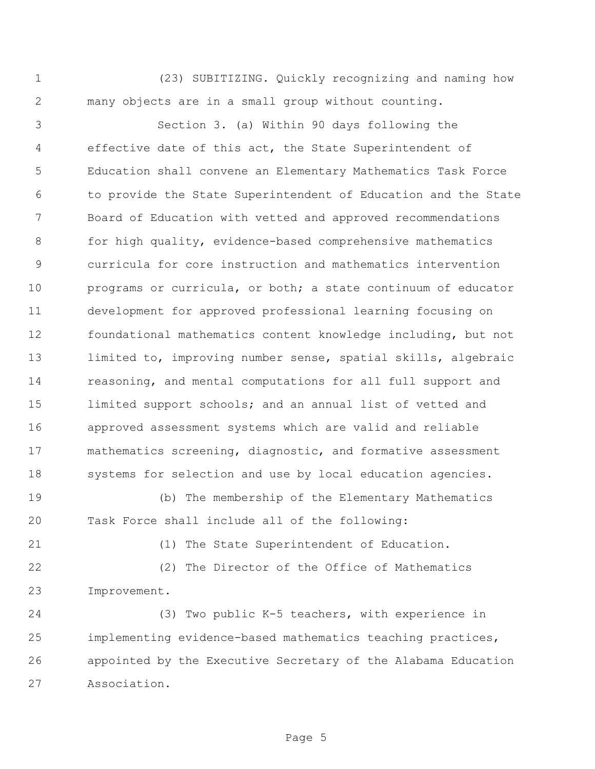(23) SUBITIZING. Quickly recognizing and naming how many objects are in a small group without counting.

 Section 3. (a) Within 90 days following the effective date of this act, the State Superintendent of Education shall convene an Elementary Mathematics Task Force to provide the State Superintendent of Education and the State Board of Education with vetted and approved recommendations for high quality, evidence-based comprehensive mathematics curricula for core instruction and mathematics intervention programs or curricula, or both; a state continuum of educator development for approved professional learning focusing on foundational mathematics content knowledge including, but not limited to, improving number sense, spatial skills, algebraic reasoning, and mental computations for all full support and limited support schools; and an annual list of vetted and approved assessment systems which are valid and reliable mathematics screening, diagnostic, and formative assessment 18 systems for selection and use by local education agencies.

 (b) The membership of the Elementary Mathematics Task Force shall include all of the following:

(1) The State Superintendent of Education.

 (2) The Director of the Office of Mathematics Improvement.

 (3) Two public K-5 teachers, with experience in implementing evidence-based mathematics teaching practices, appointed by the Executive Secretary of the Alabama Education Association.

Page 5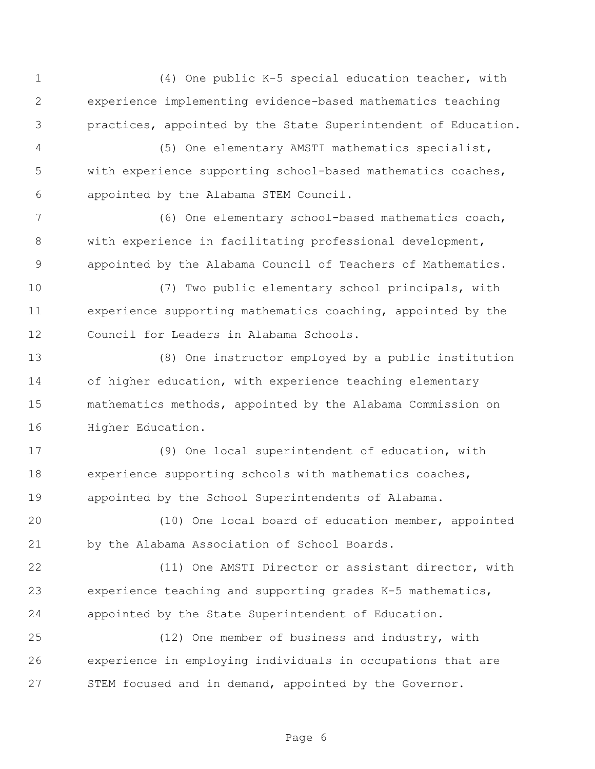(4) One public K-5 special education teacher, with experience implementing evidence-based mathematics teaching practices, appointed by the State Superintendent of Education.

 (5) One elementary AMSTI mathematics specialist, with experience supporting school-based mathematics coaches, appointed by the Alabama STEM Council.

 (6) One elementary school-based mathematics coach, with experience in facilitating professional development, appointed by the Alabama Council of Teachers of Mathematics.

 (7) Two public elementary school principals, with experience supporting mathematics coaching, appointed by the Council for Leaders in Alabama Schools.

 (8) One instructor employed by a public institution of higher education, with experience teaching elementary mathematics methods, appointed by the Alabama Commission on Higher Education.

 (9) One local superintendent of education, with experience supporting schools with mathematics coaches, appointed by the School Superintendents of Alabama.

 (10) One local board of education member, appointed by the Alabama Association of School Boards.

 (11) One AMSTI Director or assistant director, with experience teaching and supporting grades K-5 mathematics, appointed by the State Superintendent of Education.

 (12) One member of business and industry, with experience in employing individuals in occupations that are STEM focused and in demand, appointed by the Governor.

Page 6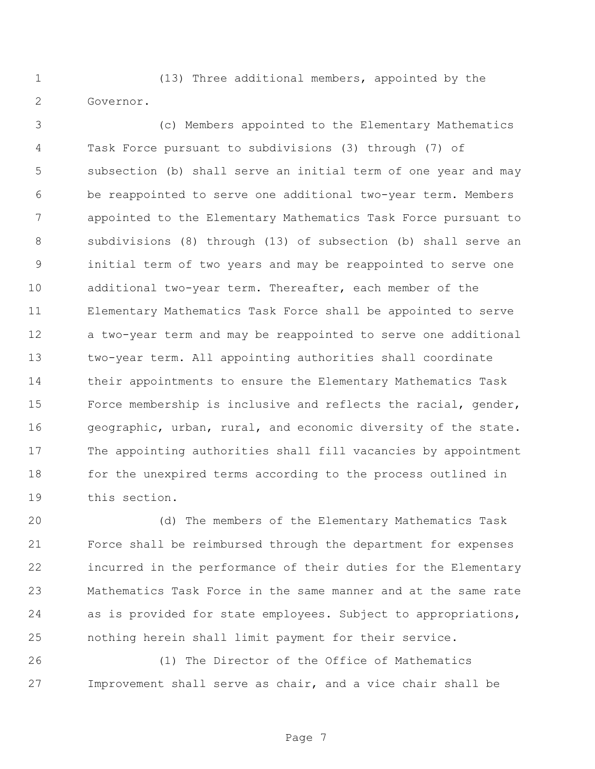(13) Three additional members, appointed by the Governor.

 (c) Members appointed to the Elementary Mathematics Task Force pursuant to subdivisions (3) through (7) of subsection (b) shall serve an initial term of one year and may be reappointed to serve one additional two-year term. Members appointed to the Elementary Mathematics Task Force pursuant to subdivisions (8) through (13) of subsection (b) shall serve an initial term of two years and may be reappointed to serve one additional two-year term. Thereafter, each member of the Elementary Mathematics Task Force shall be appointed to serve a two-year term and may be reappointed to serve one additional two-year term. All appointing authorities shall coordinate their appointments to ensure the Elementary Mathematics Task Force membership is inclusive and reflects the racial, gender, geographic, urban, rural, and economic diversity of the state. The appointing authorities shall fill vacancies by appointment for the unexpired terms according to the process outlined in this section.

 (d) The members of the Elementary Mathematics Task Force shall be reimbursed through the department for expenses incurred in the performance of their duties for the Elementary Mathematics Task Force in the same manner and at the same rate as is provided for state employees. Subject to appropriations, nothing herein shall limit payment for their service.

 (1) The Director of the Office of Mathematics Improvement shall serve as chair, and a vice chair shall be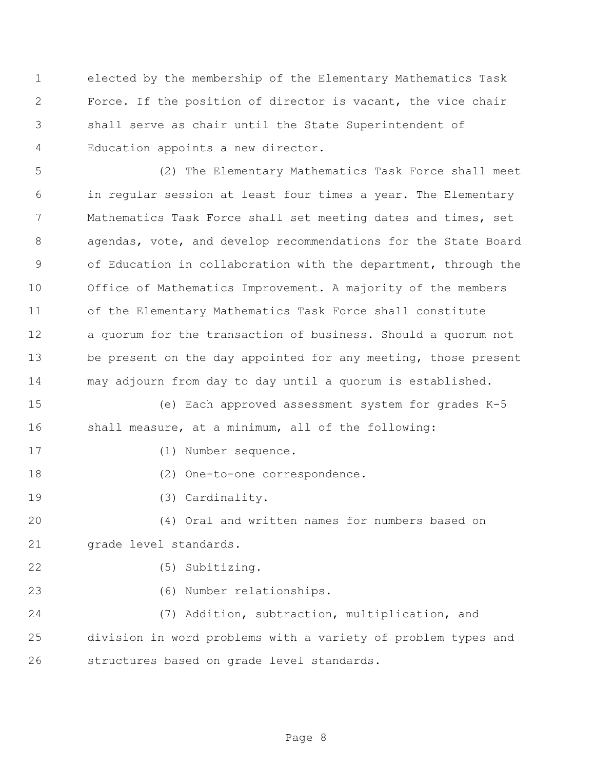elected by the membership of the Elementary Mathematics Task Force. If the position of director is vacant, the vice chair shall serve as chair until the State Superintendent of Education appoints a new director.

 (2) The Elementary Mathematics Task Force shall meet in regular session at least four times a year. The Elementary Mathematics Task Force shall set meeting dates and times, set agendas, vote, and develop recommendations for the State Board of Education in collaboration with the department, through the Office of Mathematics Improvement. A majority of the members of the Elementary Mathematics Task Force shall constitute a quorum for the transaction of business. Should a quorum not 13 be present on the day appointed for any meeting, those present may adjourn from day to day until a quorum is established.

 (e) Each approved assessment system for grades K-5 shall measure, at a minimum, all of the following:

- (1) Number sequence.
- 18 (2) One-to-one correspondence.
- (3) Cardinality.

 (4) Oral and written names for numbers based on grade level standards.

(5) Subitizing.

(6) Number relationships.

 (7) Addition, subtraction, multiplication, and division in word problems with a variety of problem types and structures based on grade level standards.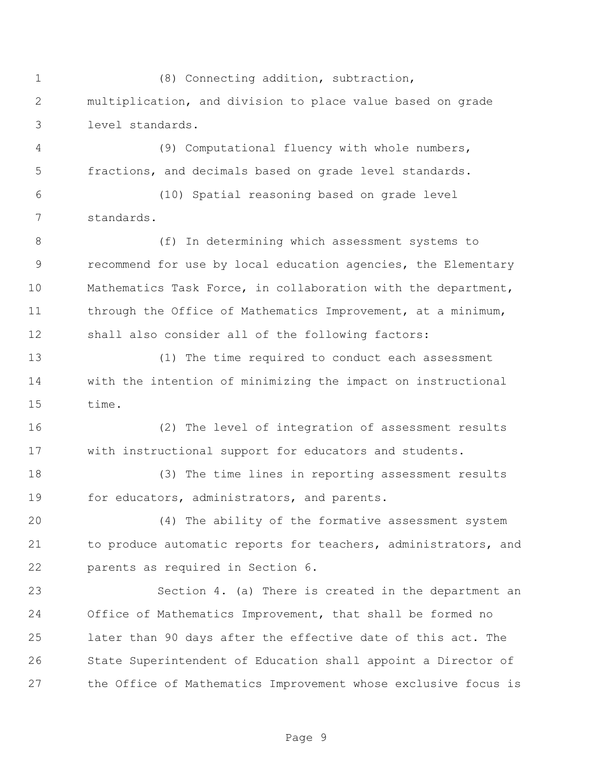(8) Connecting addition, subtraction, multiplication, and division to place value based on grade level standards. (9) Computational fluency with whole numbers, fractions, and decimals based on grade level standards.

 (10) Spatial reasoning based on grade level standards.

 (f) In determining which assessment systems to recommend for use by local education agencies, the Elementary Mathematics Task Force, in collaboration with the department, 11 through the Office of Mathematics Improvement, at a minimum, shall also consider all of the following factors:

 (1) The time required to conduct each assessment with the intention of minimizing the impact on instructional time.

 (2) The level of integration of assessment results with instructional support for educators and students.

 (3) The time lines in reporting assessment results 19 for educators, administrators, and parents.

 (4) The ability of the formative assessment system to produce automatic reports for teachers, administrators, and parents as required in Section 6.

 Section 4. (a) There is created in the department an Office of Mathematics Improvement, that shall be formed no later than 90 days after the effective date of this act. The State Superintendent of Education shall appoint a Director of the Office of Mathematics Improvement whose exclusive focus is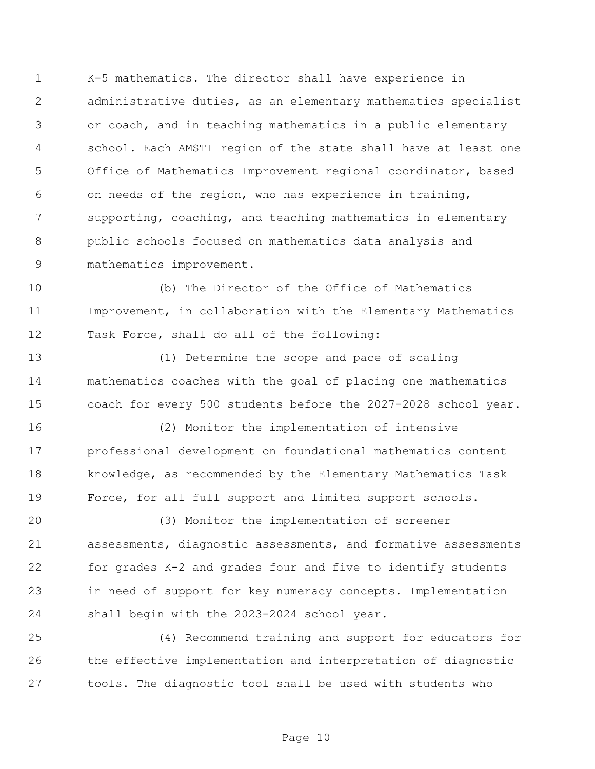K-5 mathematics. The director shall have experience in administrative duties, as an elementary mathematics specialist or coach, and in teaching mathematics in a public elementary school. Each AMSTI region of the state shall have at least one Office of Mathematics Improvement regional coordinator, based on needs of the region, who has experience in training, supporting, coaching, and teaching mathematics in elementary public schools focused on mathematics data analysis and mathematics improvement.

 (b) The Director of the Office of Mathematics Improvement, in collaboration with the Elementary Mathematics Task Force, shall do all of the following:

 (1) Determine the scope and pace of scaling mathematics coaches with the goal of placing one mathematics coach for every 500 students before the 2027-2028 school year.

 (2) Monitor the implementation of intensive professional development on foundational mathematics content knowledge, as recommended by the Elementary Mathematics Task Force, for all full support and limited support schools.

 (3) Monitor the implementation of screener assessments, diagnostic assessments, and formative assessments for grades K-2 and grades four and five to identify students in need of support for key numeracy concepts. Implementation shall begin with the 2023-2024 school year.

 (4) Recommend training and support for educators for the effective implementation and interpretation of diagnostic tools. The diagnostic tool shall be used with students who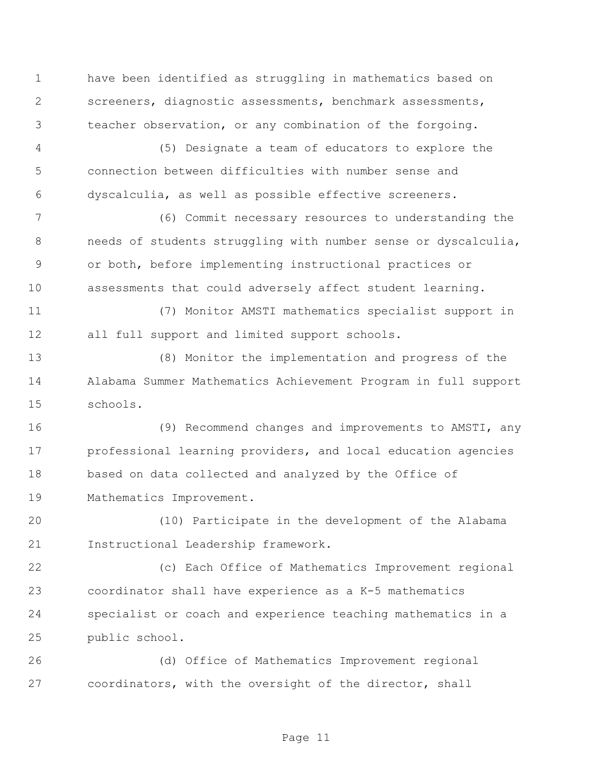have been identified as struggling in mathematics based on screeners, diagnostic assessments, benchmark assessments, teacher observation, or any combination of the forgoing.

 (5) Designate a team of educators to explore the connection between difficulties with number sense and dyscalculia, as well as possible effective screeners.

 (6) Commit necessary resources to understanding the needs of students struggling with number sense or dyscalculia, or both, before implementing instructional practices or assessments that could adversely affect student learning.

 (7) Monitor AMSTI mathematics specialist support in all full support and limited support schools.

 (8) Monitor the implementation and progress of the Alabama Summer Mathematics Achievement Program in full support schools.

 (9) Recommend changes and improvements to AMSTI, any professional learning providers, and local education agencies based on data collected and analyzed by the Office of Mathematics Improvement.

 (10) Participate in the development of the Alabama Instructional Leadership framework.

 (c) Each Office of Mathematics Improvement regional coordinator shall have experience as a K-5 mathematics specialist or coach and experience teaching mathematics in a public school.

 (d) Office of Mathematics Improvement regional coordinators, with the oversight of the director, shall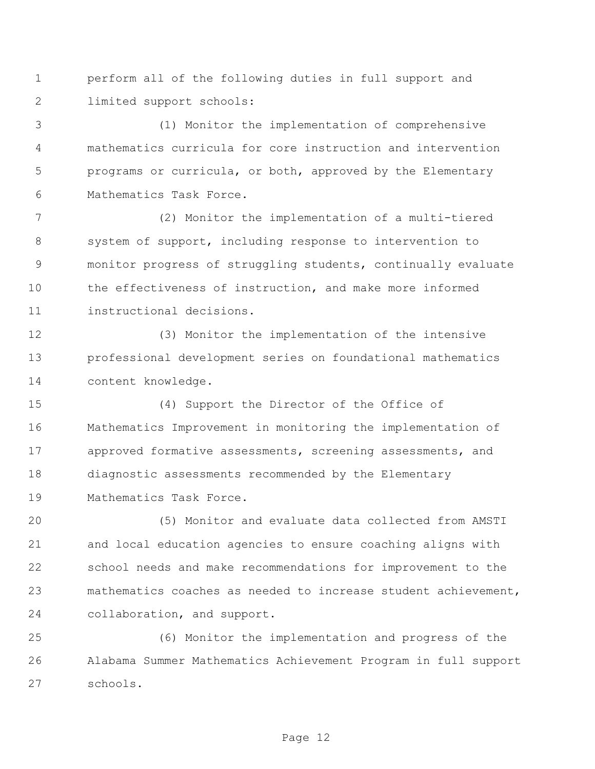perform all of the following duties in full support and limited support schools:

 (1) Monitor the implementation of comprehensive mathematics curricula for core instruction and intervention programs or curricula, or both, approved by the Elementary Mathematics Task Force.

 (2) Monitor the implementation of a multi-tiered system of support, including response to intervention to monitor progress of struggling students, continually evaluate the effectiveness of instruction, and make more informed instructional decisions.

 (3) Monitor the implementation of the intensive professional development series on foundational mathematics content knowledge.

 (4) Support the Director of the Office of Mathematics Improvement in monitoring the implementation of approved formative assessments, screening assessments, and diagnostic assessments recommended by the Elementary Mathematics Task Force.

 (5) Monitor and evaluate data collected from AMSTI and local education agencies to ensure coaching aligns with school needs and make recommendations for improvement to the mathematics coaches as needed to increase student achievement, collaboration, and support.

 (6) Monitor the implementation and progress of the Alabama Summer Mathematics Achievement Program in full support schools.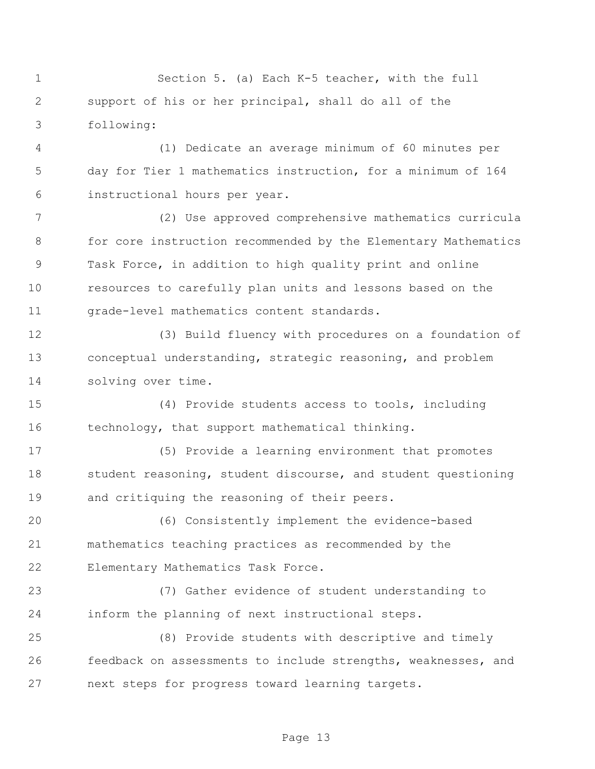Section 5. (a) Each K-5 teacher, with the full support of his or her principal, shall do all of the following:

 (1) Dedicate an average minimum of 60 minutes per day for Tier 1 mathematics instruction, for a minimum of 164 instructional hours per year.

 (2) Use approved comprehensive mathematics curricula for core instruction recommended by the Elementary Mathematics Task Force, in addition to high quality print and online resources to carefully plan units and lessons based on the grade-level mathematics content standards.

 (3) Build fluency with procedures on a foundation of conceptual understanding, strategic reasoning, and problem solving over time.

 (4) Provide students access to tools, including technology, that support mathematical thinking.

 (5) Provide a learning environment that promotes 18 student reasoning, student discourse, and student questioning and critiquing the reasoning of their peers.

 (6) Consistently implement the evidence-based mathematics teaching practices as recommended by the Elementary Mathematics Task Force.

 (7) Gather evidence of student understanding to inform the planning of next instructional steps.

 (8) Provide students with descriptive and timely feedback on assessments to include strengths, weaknesses, and next steps for progress toward learning targets.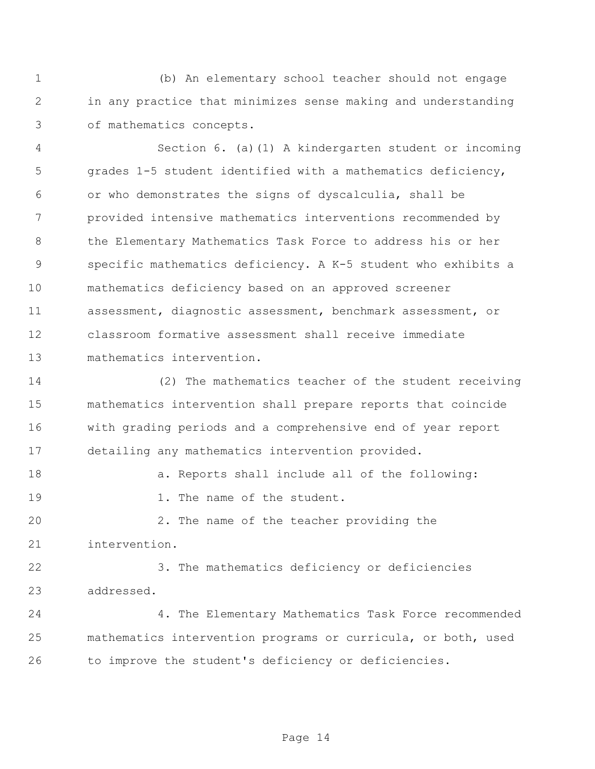(b) An elementary school teacher should not engage in any practice that minimizes sense making and understanding of mathematics concepts.

 Section 6. (a)(1) A kindergarten student or incoming grades 1-5 student identified with a mathematics deficiency, or who demonstrates the signs of dyscalculia, shall be provided intensive mathematics interventions recommended by 8 the Elementary Mathematics Task Force to address his or her specific mathematics deficiency. A K-5 student who exhibits a mathematics deficiency based on an approved screener assessment, diagnostic assessment, benchmark assessment, or classroom formative assessment shall receive immediate mathematics intervention.

 (2) The mathematics teacher of the student receiving mathematics intervention shall prepare reports that coincide with grading periods and a comprehensive end of year report detailing any mathematics intervention provided.

18 a. Reports shall include all of the following: 19 1. The name of the student.

 2. The name of the teacher providing the intervention.

 3. The mathematics deficiency or deficiencies addressed.

 4. The Elementary Mathematics Task Force recommended mathematics intervention programs or curricula, or both, used to improve the student's deficiency or deficiencies.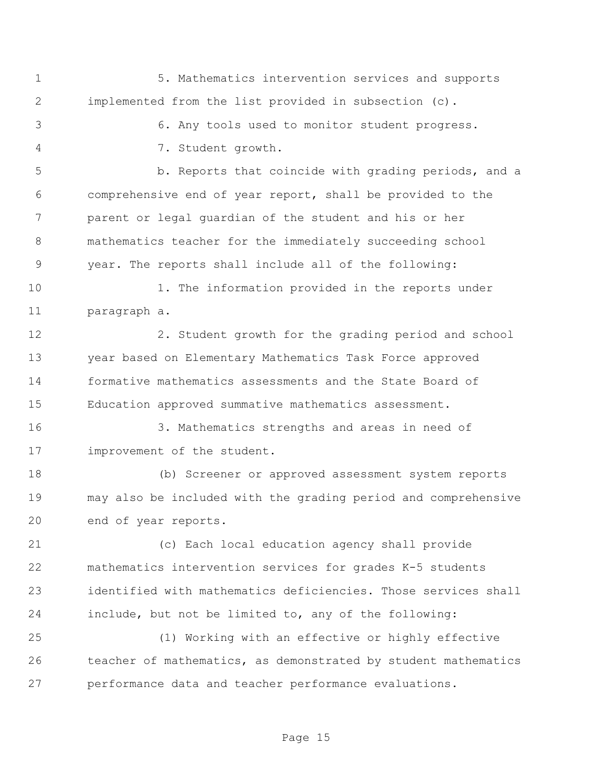5. Mathematics intervention services and supports implemented from the list provided in subsection (c).

6. Any tools used to monitor student progress.

7. Student growth.

 b. Reports that coincide with grading periods, and a comprehensive end of year report, shall be provided to the parent or legal guardian of the student and his or her mathematics teacher for the immediately succeeding school year. The reports shall include all of the following:

10 1. The information provided in the reports under paragraph a.

 2. Student growth for the grading period and school year based on Elementary Mathematics Task Force approved formative mathematics assessments and the State Board of Education approved summative mathematics assessment.

 3. Mathematics strengths and areas in need of 17 improvement of the student.

 (b) Screener or approved assessment system reports may also be included with the grading period and comprehensive end of year reports.

 (c) Each local education agency shall provide mathematics intervention services for grades K-5 students identified with mathematics deficiencies. Those services shall include, but not be limited to, any of the following:

 (1) Working with an effective or highly effective teacher of mathematics, as demonstrated by student mathematics performance data and teacher performance evaluations.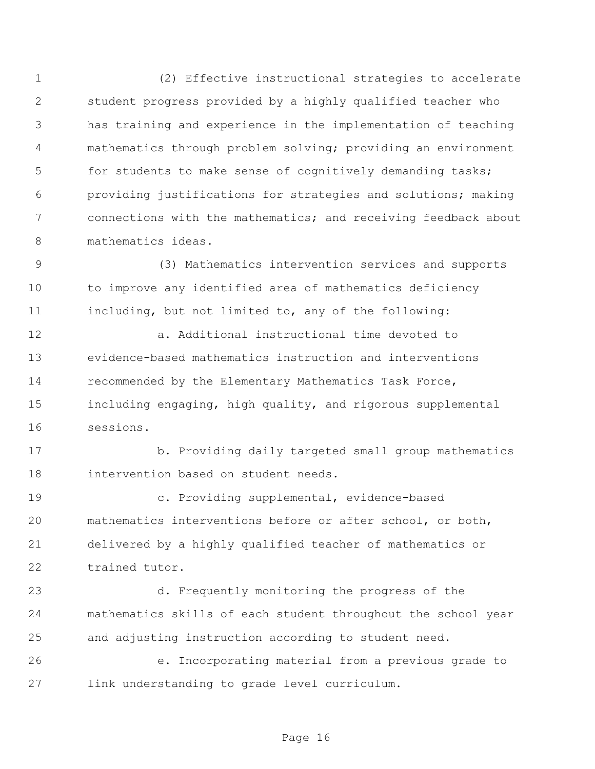(2) Effective instructional strategies to accelerate student progress provided by a highly qualified teacher who has training and experience in the implementation of teaching mathematics through problem solving; providing an environment for students to make sense of cognitively demanding tasks; providing justifications for strategies and solutions; making connections with the mathematics; and receiving feedback about mathematics ideas.

 (3) Mathematics intervention services and supports to improve any identified area of mathematics deficiency including, but not limited to, any of the following:

 a. Additional instructional time devoted to evidence-based mathematics instruction and interventions recommended by the Elementary Mathematics Task Force, including engaging, high quality, and rigorous supplemental sessions.

 b. Providing daily targeted small group mathematics intervention based on student needs.

 c. Providing supplemental, evidence-based mathematics interventions before or after school, or both, delivered by a highly qualified teacher of mathematics or trained tutor.

 d. Frequently monitoring the progress of the mathematics skills of each student throughout the school year and adjusting instruction according to student need.

 e. Incorporating material from a previous grade to link understanding to grade level curriculum.

Page 16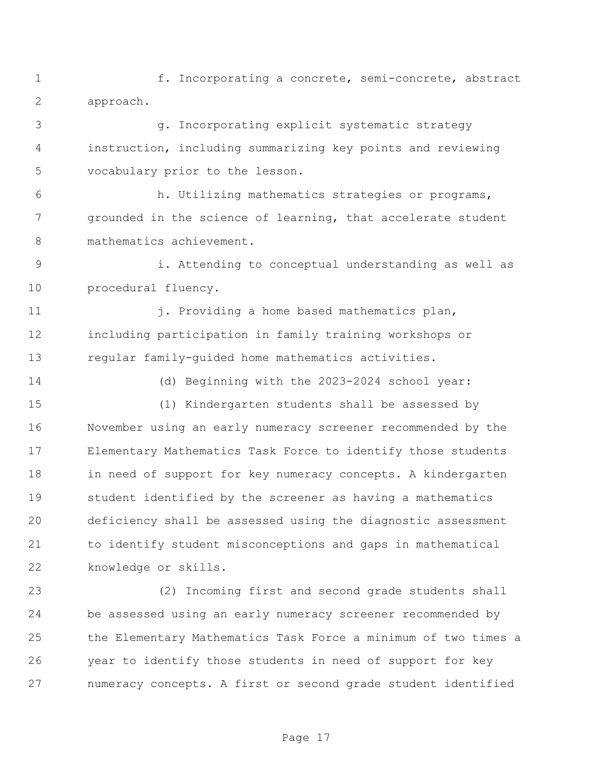1 f. Incorporating a concrete, semi-concrete, abstract approach.

 g. Incorporating explicit systematic strategy instruction, including summarizing key points and reviewing vocabulary prior to the lesson.

 h. Utilizing mathematics strategies or programs, grounded in the science of learning, that accelerate student mathematics achievement.

 i. Attending to conceptual understanding as well as procedural fluency.

11 i. Providing a home based mathematics plan, including participation in family training workshops or regular family-guided home mathematics activities.

(d) Beginning with the 2023-2024 school year:

 (1) Kindergarten students shall be assessed by November using an early numeracy screener recommended by the Elementary Mathematics Task Force to identify those students 18 in need of support for key numeracy concepts. A kindergarten student identified by the screener as having a mathematics deficiency shall be assessed using the diagnostic assessment to identify student misconceptions and gaps in mathematical knowledge or skills.

 (2) Incoming first and second grade students shall be assessed using an early numeracy screener recommended by the Elementary Mathematics Task Force a minimum of two times a year to identify those students in need of support for key numeracy concepts. A first or second grade student identified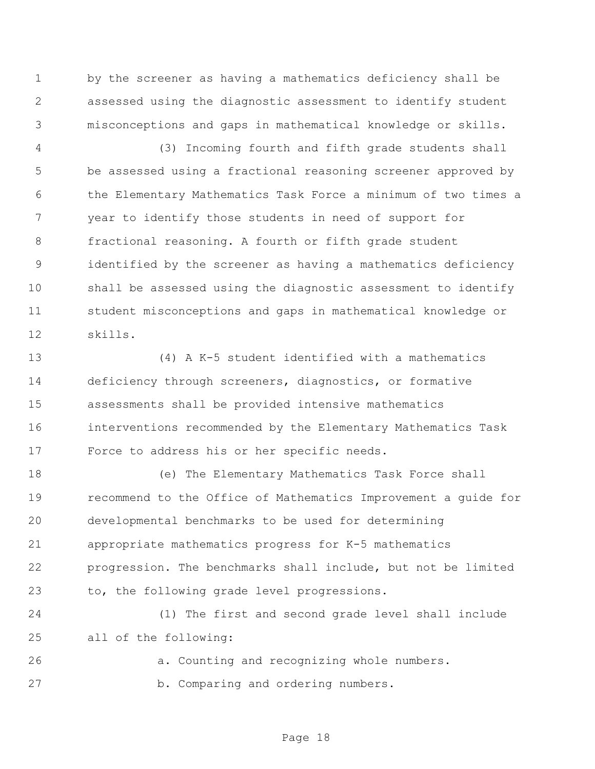by the screener as having a mathematics deficiency shall be assessed using the diagnostic assessment to identify student misconceptions and gaps in mathematical knowledge or skills.

 (3) Incoming fourth and fifth grade students shall be assessed using a fractional reasoning screener approved by the Elementary Mathematics Task Force a minimum of two times a year to identify those students in need of support for fractional reasoning. A fourth or fifth grade student identified by the screener as having a mathematics deficiency shall be assessed using the diagnostic assessment to identify student misconceptions and gaps in mathematical knowledge or skills.

 (4) A K-5 student identified with a mathematics deficiency through screeners, diagnostics, or formative assessments shall be provided intensive mathematics interventions recommended by the Elementary Mathematics Task Force to address his or her specific needs.

 (e) The Elementary Mathematics Task Force shall recommend to the Office of Mathematics Improvement a guide for developmental benchmarks to be used for determining appropriate mathematics progress for K-5 mathematics progression. The benchmarks shall include, but not be limited to, the following grade level progressions.

 (1) The first and second grade level shall include all of the following:

 a. Counting and recognizing whole numbers. b. Comparing and ordering numbers.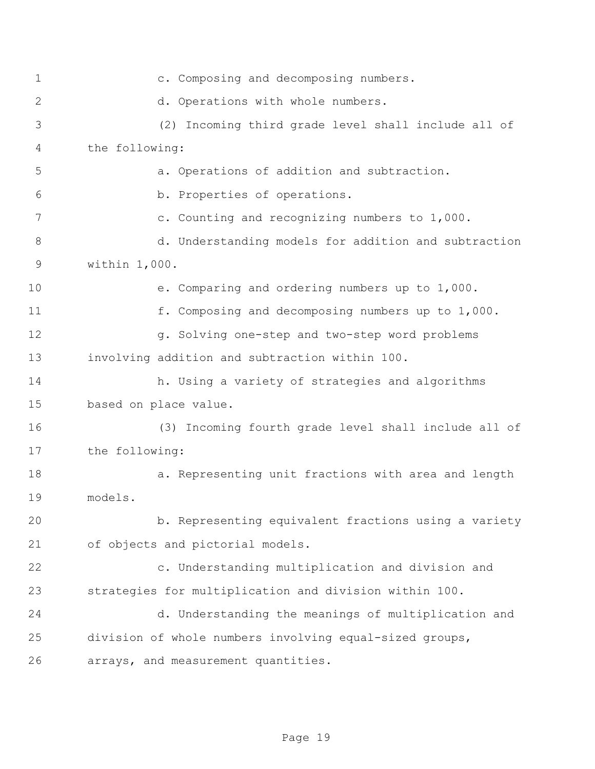c. Composing and decomposing numbers. d. Operations with whole numbers. (2) Incoming third grade level shall include all of the following: a. Operations of addition and subtraction. b. Properties of operations. c. Counting and recognizing numbers to 1,000. 8 d. Understanding models for addition and subtraction within 1,000. e. Comparing and ordering numbers up to 1,000. f. Composing and decomposing numbers up to 1,000. 12 g. Solving one-step and two-step word problems involving addition and subtraction within 100. h. Using a variety of strategies and algorithms based on place value. (3) Incoming fourth grade level shall include all of the following: a. Representing unit fractions with area and length models. b. Representing equivalent fractions using a variety of objects and pictorial models. c. Understanding multiplication and division and strategies for multiplication and division within 100. d. Understanding the meanings of multiplication and division of whole numbers involving equal-sized groups, arrays, and measurement quantities.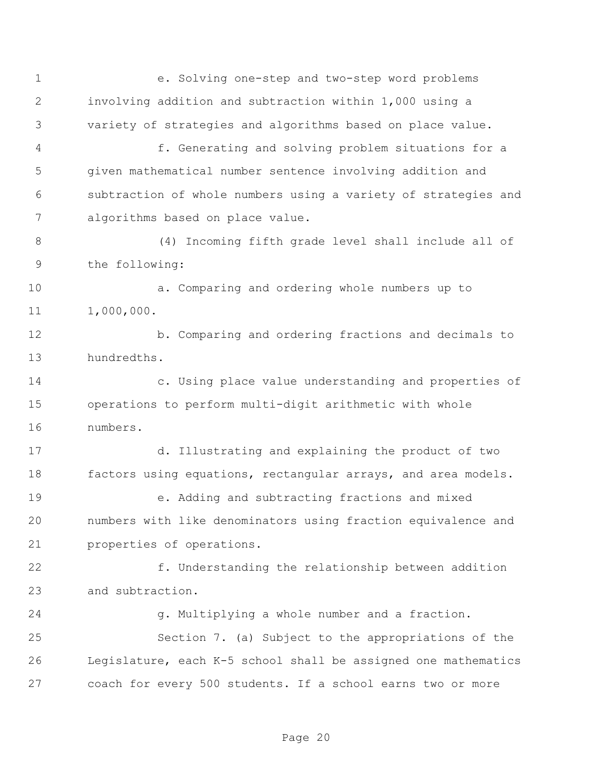e. Solving one-step and two-step word problems involving addition and subtraction within 1,000 using a variety of strategies and algorithms based on place value. f. Generating and solving problem situations for a given mathematical number sentence involving addition and subtraction of whole numbers using a variety of strategies and algorithms based on place value. (4) Incoming fifth grade level shall include all of the following: a. Comparing and ordering whole numbers up to 1,000,000. b. Comparing and ordering fractions and decimals to hundredths. c. Using place value understanding and properties of operations to perform multi-digit arithmetic with whole numbers. d. Illustrating and explaining the product of two factors using equations, rectangular arrays, and area models. e. Adding and subtracting fractions and mixed numbers with like denominators using fraction equivalence and properties of operations. f. Understanding the relationship between addition and subtraction. g. Multiplying a whole number and a fraction. Section 7. (a) Subject to the appropriations of the Legislature, each K-5 school shall be assigned one mathematics coach for every 500 students. If a school earns two or more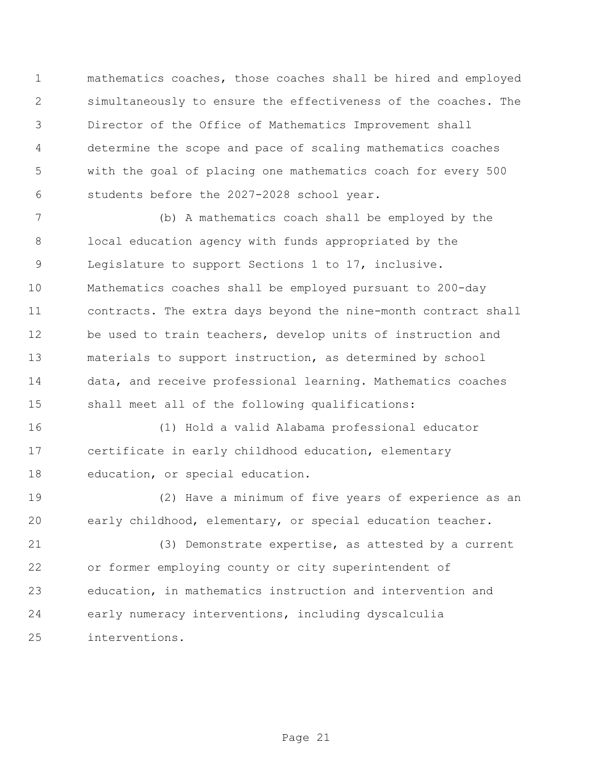mathematics coaches, those coaches shall be hired and employed simultaneously to ensure the effectiveness of the coaches. The Director of the Office of Mathematics Improvement shall determine the scope and pace of scaling mathematics coaches with the goal of placing one mathematics coach for every 500 students before the 2027-2028 school year.

 (b) A mathematics coach shall be employed by the local education agency with funds appropriated by the Legislature to support Sections 1 to 17, inclusive. Mathematics coaches shall be employed pursuant to 200-day contracts. The extra days beyond the nine-month contract shall be used to train teachers, develop units of instruction and materials to support instruction, as determined by school data, and receive professional learning. Mathematics coaches shall meet all of the following qualifications:

 (1) Hold a valid Alabama professional educator certificate in early childhood education, elementary education, or special education.

 (2) Have a minimum of five years of experience as an early childhood, elementary, or special education teacher.

 (3) Demonstrate expertise, as attested by a current or former employing county or city superintendent of education, in mathematics instruction and intervention and early numeracy interventions, including dyscalculia interventions.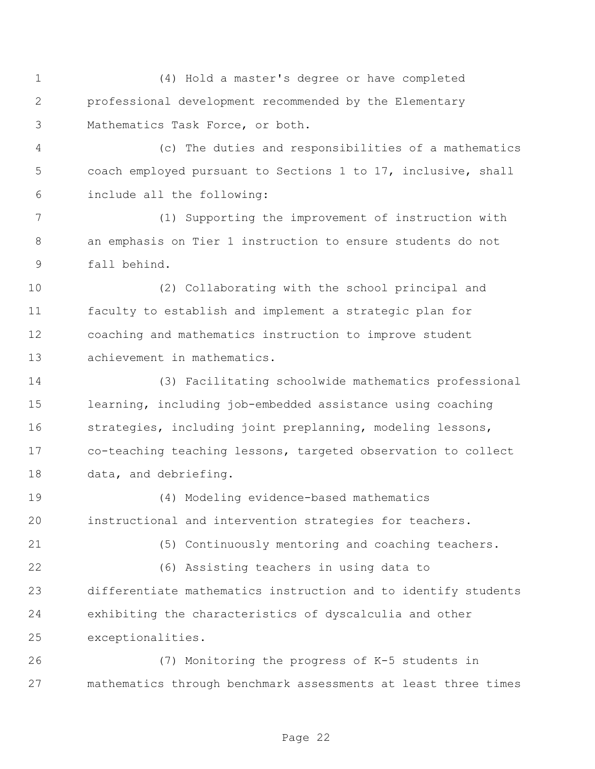(4) Hold a master's degree or have completed professional development recommended by the Elementary Mathematics Task Force, or both.

 (c) The duties and responsibilities of a mathematics coach employed pursuant to Sections 1 to 17, inclusive, shall include all the following:

 (1) Supporting the improvement of instruction with an emphasis on Tier 1 instruction to ensure students do not fall behind.

 (2) Collaborating with the school principal and faculty to establish and implement a strategic plan for coaching and mathematics instruction to improve student achievement in mathematics.

 (3) Facilitating schoolwide mathematics professional learning, including job-embedded assistance using coaching strategies, including joint preplanning, modeling lessons, co-teaching teaching lessons, targeted observation to collect data, and debriefing.

 (4) Modeling evidence-based mathematics instructional and intervention strategies for teachers.

(6) Assisting teachers in using data to

(5) Continuously mentoring and coaching teachers.

 differentiate mathematics instruction and to identify students exhibiting the characteristics of dyscalculia and other exceptionalities.

 (7) Monitoring the progress of K-5 students in mathematics through benchmark assessments at least three times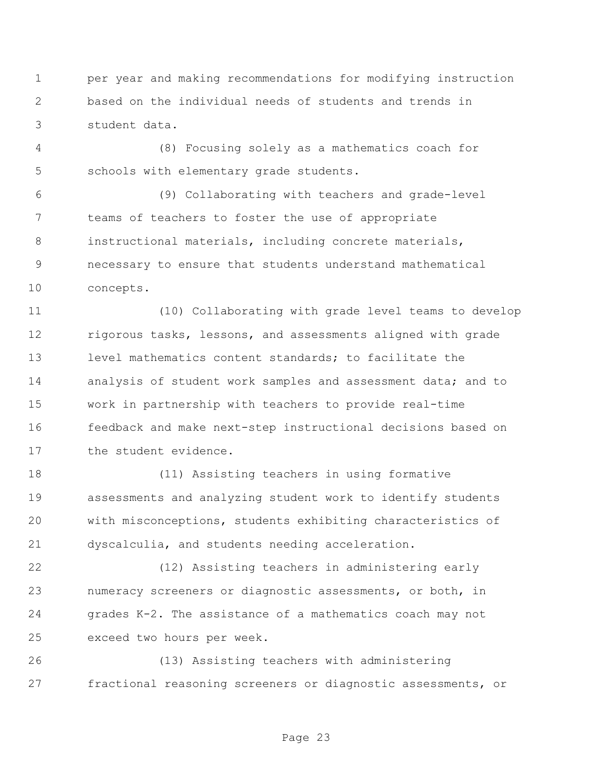per year and making recommendations for modifying instruction based on the individual needs of students and trends in student data.

 (8) Focusing solely as a mathematics coach for schools with elementary grade students.

 (9) Collaborating with teachers and grade-level teams of teachers to foster the use of appropriate instructional materials, including concrete materials, necessary to ensure that students understand mathematical concepts.

 (10) Collaborating with grade level teams to develop 12 rigorous tasks, lessons, and assessments aligned with grade level mathematics content standards; to facilitate the analysis of student work samples and assessment data; and to work in partnership with teachers to provide real-time feedback and make next-step instructional decisions based on the student evidence.

 (11) Assisting teachers in using formative assessments and analyzing student work to identify students with misconceptions, students exhibiting characteristics of dyscalculia, and students needing acceleration.

 (12) Assisting teachers in administering early numeracy screeners or diagnostic assessments, or both, in grades K-2. The assistance of a mathematics coach may not exceed two hours per week.

 (13) Assisting teachers with administering fractional reasoning screeners or diagnostic assessments, or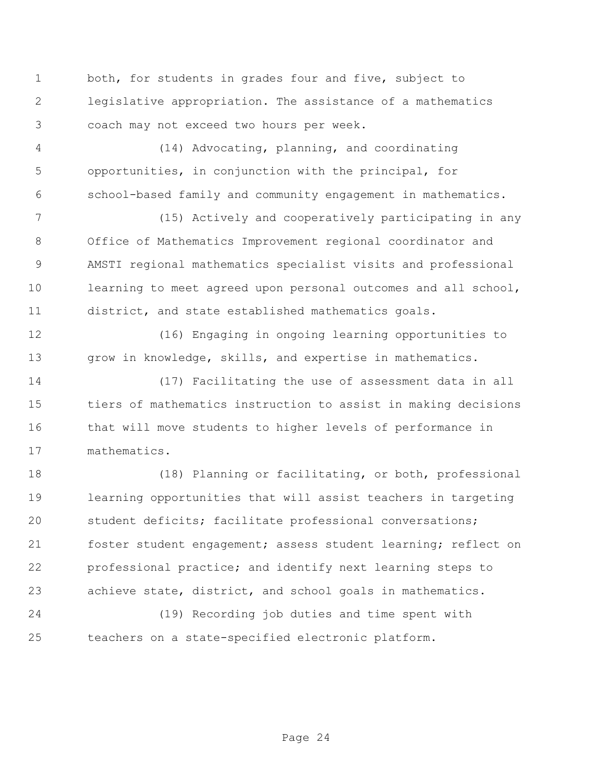both, for students in grades four and five, subject to legislative appropriation. The assistance of a mathematics coach may not exceed two hours per week.

 (14) Advocating, planning, and coordinating opportunities, in conjunction with the principal, for school-based family and community engagement in mathematics.

 (15) Actively and cooperatively participating in any Office of Mathematics Improvement regional coordinator and AMSTI regional mathematics specialist visits and professional learning to meet agreed upon personal outcomes and all school, district, and state established mathematics goals.

 (16) Engaging in ongoing learning opportunities to grow in knowledge, skills, and expertise in mathematics.

 (17) Facilitating the use of assessment data in all tiers of mathematics instruction to assist in making decisions that will move students to higher levels of performance in mathematics.

 (18) Planning or facilitating, or both, professional learning opportunities that will assist teachers in targeting student deficits; facilitate professional conversations; foster student engagement; assess student learning; reflect on professional practice; and identify next learning steps to achieve state, district, and school goals in mathematics.

 (19) Recording job duties and time spent with teachers on a state-specified electronic platform.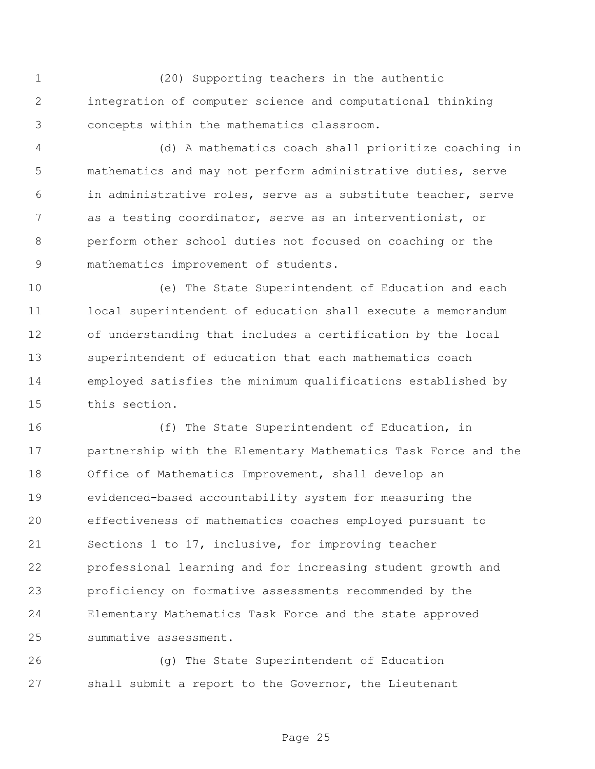(20) Supporting teachers in the authentic integration of computer science and computational thinking concepts within the mathematics classroom.

 (d) A mathematics coach shall prioritize coaching in mathematics and may not perform administrative duties, serve in administrative roles, serve as a substitute teacher, serve as a testing coordinator, serve as an interventionist, or perform other school duties not focused on coaching or the mathematics improvement of students.

 (e) The State Superintendent of Education and each local superintendent of education shall execute a memorandum of understanding that includes a certification by the local superintendent of education that each mathematics coach employed satisfies the minimum qualifications established by this section.

 (f) The State Superintendent of Education, in partnership with the Elementary Mathematics Task Force and the Office of Mathematics Improvement, shall develop an evidenced-based accountability system for measuring the effectiveness of mathematics coaches employed pursuant to Sections 1 to 17, inclusive, for improving teacher professional learning and for increasing student growth and proficiency on formative assessments recommended by the Elementary Mathematics Task Force and the state approved summative assessment.

 (g) The State Superintendent of Education shall submit a report to the Governor, the Lieutenant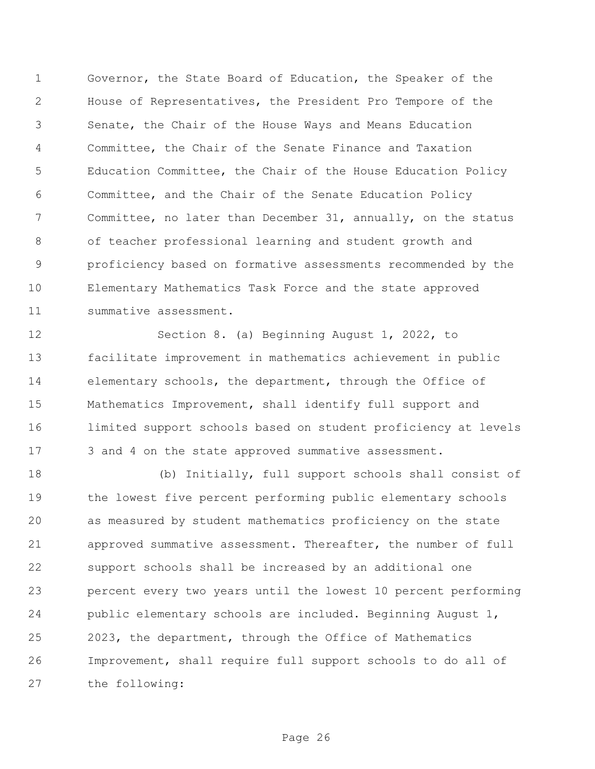Governor, the State Board of Education, the Speaker of the House of Representatives, the President Pro Tempore of the Senate, the Chair of the House Ways and Means Education Committee, the Chair of the Senate Finance and Taxation Education Committee, the Chair of the House Education Policy Committee, and the Chair of the Senate Education Policy Committee, no later than December 31, annually, on the status of teacher professional learning and student growth and proficiency based on formative assessments recommended by the Elementary Mathematics Task Force and the state approved summative assessment.

 Section 8. (a) Beginning August 1, 2022, to facilitate improvement in mathematics achievement in public elementary schools, the department, through the Office of Mathematics Improvement, shall identify full support and limited support schools based on student proficiency at levels 17 3 and 4 on the state approved summative assessment.

 (b) Initially, full support schools shall consist of the lowest five percent performing public elementary schools as measured by student mathematics proficiency on the state approved summative assessment. Thereafter, the number of full support schools shall be increased by an additional one percent every two years until the lowest 10 percent performing public elementary schools are included. Beginning August 1, 2023, the department, through the Office of Mathematics Improvement, shall require full support schools to do all of the following:

Page 26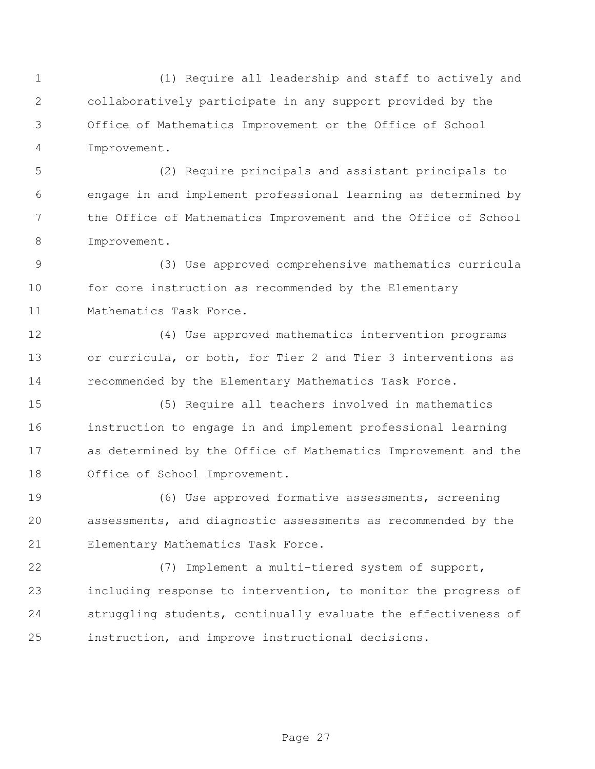(1) Require all leadership and staff to actively and collaboratively participate in any support provided by the Office of Mathematics Improvement or the Office of School Improvement.

 (2) Require principals and assistant principals to engage in and implement professional learning as determined by the Office of Mathematics Improvement and the Office of School Improvement.

 (3) Use approved comprehensive mathematics curricula for core instruction as recommended by the Elementary Mathematics Task Force.

 (4) Use approved mathematics intervention programs or curricula, or both, for Tier 2 and Tier 3 interventions as recommended by the Elementary Mathematics Task Force.

 (5) Require all teachers involved in mathematics instruction to engage in and implement professional learning as determined by the Office of Mathematics Improvement and the Office of School Improvement.

 (6) Use approved formative assessments, screening assessments, and diagnostic assessments as recommended by the Elementary Mathematics Task Force.

 (7) Implement a multi-tiered system of support, including response to intervention, to monitor the progress of struggling students, continually evaluate the effectiveness of instruction, and improve instructional decisions.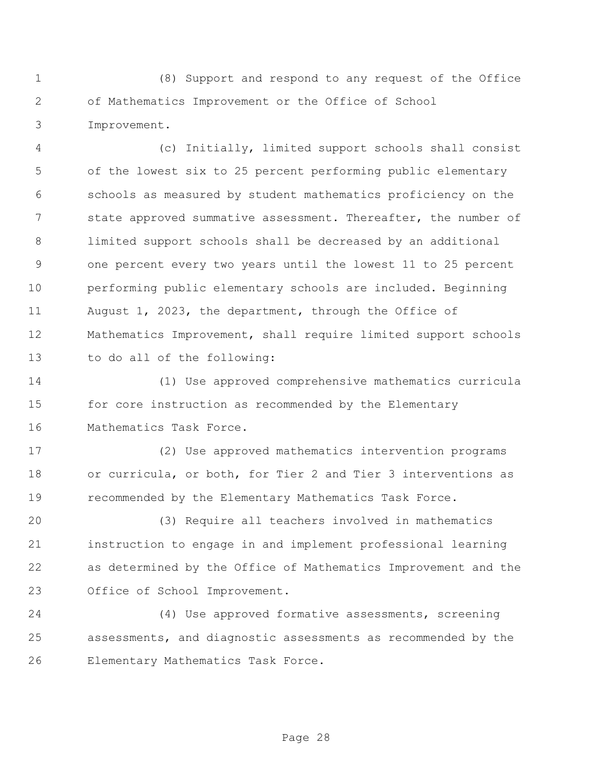(8) Support and respond to any request of the Office of Mathematics Improvement or the Office of School Improvement.

 (c) Initially, limited support schools shall consist of the lowest six to 25 percent performing public elementary schools as measured by student mathematics proficiency on the 7 state approved summative assessment. Thereafter, the number of limited support schools shall be decreased by an additional one percent every two years until the lowest 11 to 25 percent performing public elementary schools are included. Beginning August 1, 2023, the department, through the Office of Mathematics Improvement, shall require limited support schools to do all of the following:

 (1) Use approved comprehensive mathematics curricula for core instruction as recommended by the Elementary Mathematics Task Force.

 (2) Use approved mathematics intervention programs or curricula, or both, for Tier 2 and Tier 3 interventions as recommended by the Elementary Mathematics Task Force.

 (3) Require all teachers involved in mathematics instruction to engage in and implement professional learning as determined by the Office of Mathematics Improvement and the Office of School Improvement.

 (4) Use approved formative assessments, screening assessments, and diagnostic assessments as recommended by the Elementary Mathematics Task Force.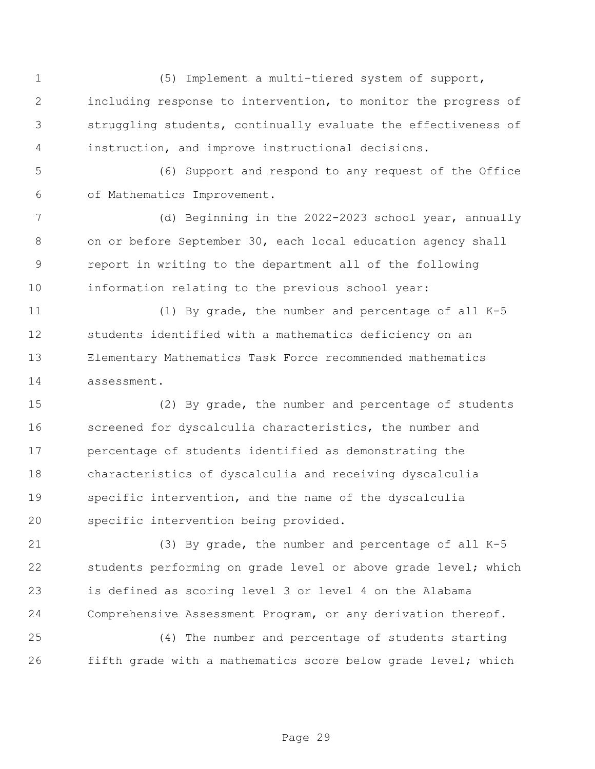(5) Implement a multi-tiered system of support, including response to intervention, to monitor the progress of struggling students, continually evaluate the effectiveness of instruction, and improve instructional decisions.

 (6) Support and respond to any request of the Office of Mathematics Improvement.

 (d) Beginning in the 2022-2023 school year, annually on or before September 30, each local education agency shall report in writing to the department all of the following information relating to the previous school year:

 (1) By grade, the number and percentage of all K-5 students identified with a mathematics deficiency on an Elementary Mathematics Task Force recommended mathematics assessment.

 (2) By grade, the number and percentage of students screened for dyscalculia characteristics, the number and percentage of students identified as demonstrating the characteristics of dyscalculia and receiving dyscalculia specific intervention, and the name of the dyscalculia specific intervention being provided.

 (3) By grade, the number and percentage of all K-5 students performing on grade level or above grade level; which is defined as scoring level 3 or level 4 on the Alabama Comprehensive Assessment Program, or any derivation thereof.

 (4) The number and percentage of students starting fifth grade with a mathematics score below grade level; which

Page 29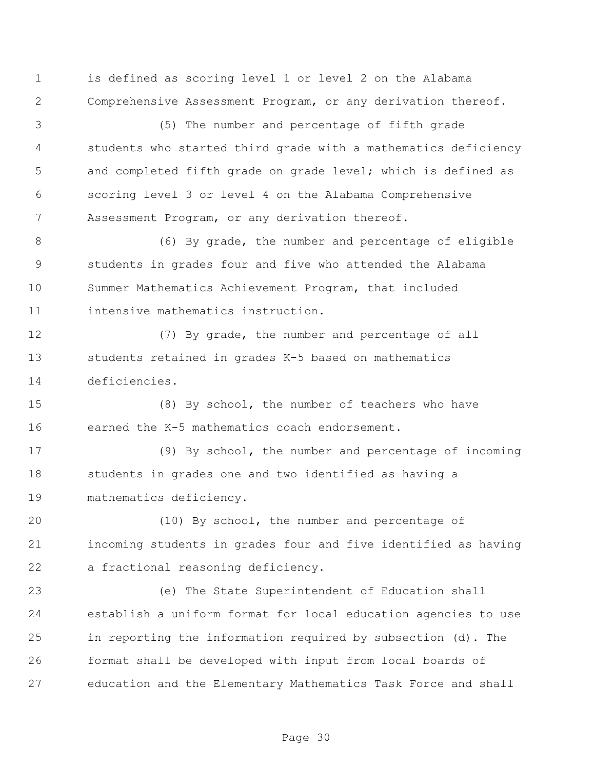is defined as scoring level 1 or level 2 on the Alabama Comprehensive Assessment Program, or any derivation thereof.

 (5) The number and percentage of fifth grade students who started third grade with a mathematics deficiency 5 and completed fifth grade on grade level; which is defined as scoring level 3 or level 4 on the Alabama Comprehensive Assessment Program, or any derivation thereof.

 (6) By grade, the number and percentage of eligible students in grades four and five who attended the Alabama Summer Mathematics Achievement Program, that included intensive mathematics instruction.

 (7) By grade, the number and percentage of all students retained in grades K-5 based on mathematics deficiencies.

 (8) By school, the number of teachers who have earned the K-5 mathematics coach endorsement.

 (9) By school, the number and percentage of incoming students in grades one and two identified as having a mathematics deficiency.

 (10) By school, the number and percentage of incoming students in grades four and five identified as having a fractional reasoning deficiency.

 (e) The State Superintendent of Education shall establish a uniform format for local education agencies to use in reporting the information required by subsection (d). The format shall be developed with input from local boards of education and the Elementary Mathematics Task Force and shall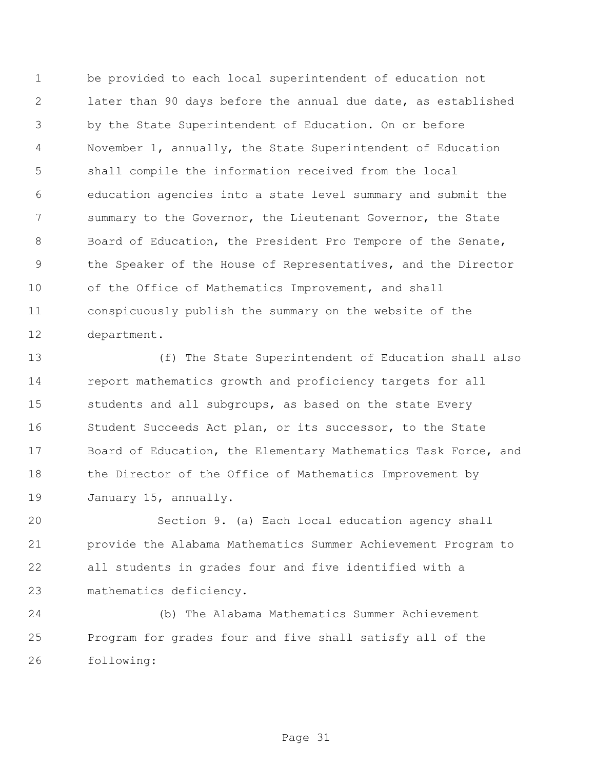be provided to each local superintendent of education not later than 90 days before the annual due date, as established by the State Superintendent of Education. On or before November 1, annually, the State Superintendent of Education shall compile the information received from the local education agencies into a state level summary and submit the 7 summary to the Governor, the Lieutenant Governor, the State Board of Education, the President Pro Tempore of the Senate, the Speaker of the House of Representatives, and the Director of the Office of Mathematics Improvement, and shall conspicuously publish the summary on the website of the department.

 (f) The State Superintendent of Education shall also report mathematics growth and proficiency targets for all 15 students and all subgroups, as based on the state Every Student Succeeds Act plan, or its successor, to the State Board of Education, the Elementary Mathematics Task Force, and 18 the Director of the Office of Mathematics Improvement by January 15, annually.

 Section 9. (a) Each local education agency shall provide the Alabama Mathematics Summer Achievement Program to all students in grades four and five identified with a mathematics deficiency.

 (b) The Alabama Mathematics Summer Achievement Program for grades four and five shall satisfy all of the following:

Page 31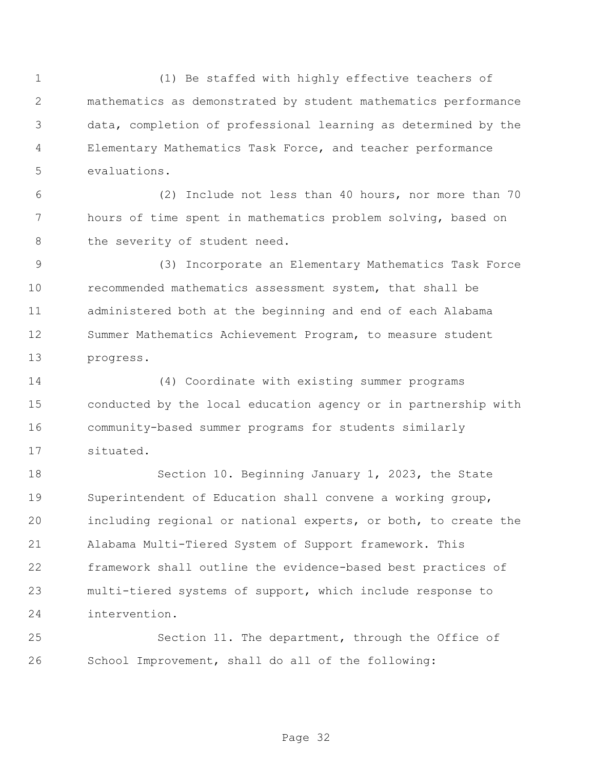(1) Be staffed with highly effective teachers of mathematics as demonstrated by student mathematics performance data, completion of professional learning as determined by the Elementary Mathematics Task Force, and teacher performance evaluations.

 (2) Include not less than 40 hours, nor more than 70 hours of time spent in mathematics problem solving, based on 8 the severity of student need.

 (3) Incorporate an Elementary Mathematics Task Force recommended mathematics assessment system, that shall be administered both at the beginning and end of each Alabama Summer Mathematics Achievement Program, to measure student progress.

 (4) Coordinate with existing summer programs conducted by the local education agency or in partnership with community-based summer programs for students similarly situated.

 Section 10. Beginning January 1, 2023, the State Superintendent of Education shall convene a working group, including regional or national experts, or both, to create the Alabama Multi-Tiered System of Support framework. This framework shall outline the evidence-based best practices of multi-tiered systems of support, which include response to intervention.

 Section 11. The department, through the Office of School Improvement, shall do all of the following: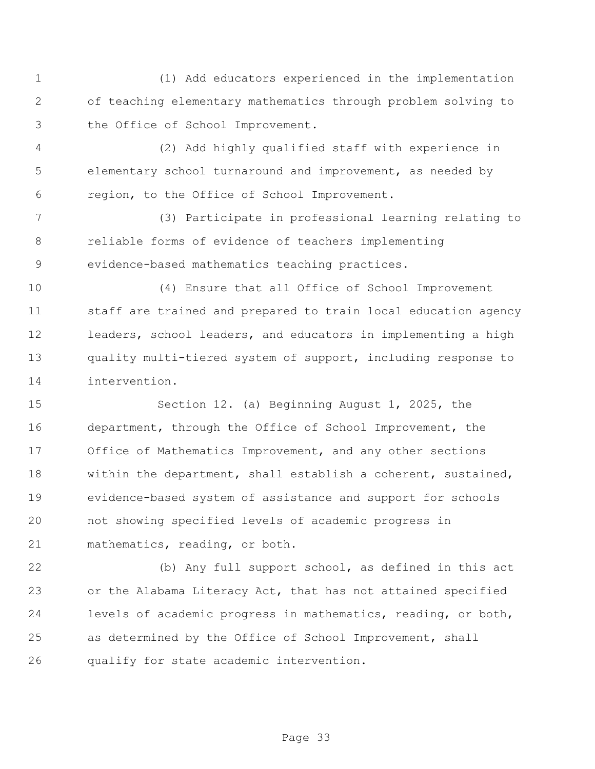(1) Add educators experienced in the implementation of teaching elementary mathematics through problem solving to the Office of School Improvement.

 (2) Add highly qualified staff with experience in elementary school turnaround and improvement, as needed by region, to the Office of School Improvement.

 (3) Participate in professional learning relating to reliable forms of evidence of teachers implementing evidence-based mathematics teaching practices.

 (4) Ensure that all Office of School Improvement staff are trained and prepared to train local education agency leaders, school leaders, and educators in implementing a high quality multi-tiered system of support, including response to intervention.

 Section 12. (a) Beginning August 1, 2025, the department, through the Office of School Improvement, the Office of Mathematics Improvement, and any other sections within the department, shall establish a coherent, sustained, evidence-based system of assistance and support for schools not showing specified levels of academic progress in mathematics, reading, or both.

 (b) Any full support school, as defined in this act or the Alabama Literacy Act, that has not attained specified levels of academic progress in mathematics, reading, or both, as determined by the Office of School Improvement, shall qualify for state academic intervention.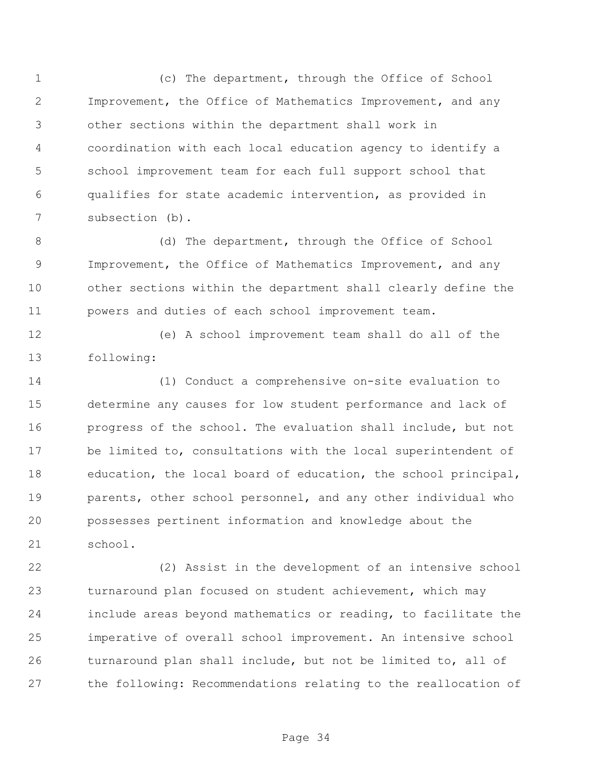(c) The department, through the Office of School Improvement, the Office of Mathematics Improvement, and any other sections within the department shall work in coordination with each local education agency to identify a school improvement team for each full support school that qualifies for state academic intervention, as provided in subsection (b).

8 (d) The department, through the Office of School Improvement, the Office of Mathematics Improvement, and any other sections within the department shall clearly define the powers and duties of each school improvement team.

 (e) A school improvement team shall do all of the following:

 (1) Conduct a comprehensive on-site evaluation to determine any causes for low student performance and lack of progress of the school. The evaluation shall include, but not be limited to, consultations with the local superintendent of education, the local board of education, the school principal, parents, other school personnel, and any other individual who possesses pertinent information and knowledge about the school.

 (2) Assist in the development of an intensive school turnaround plan focused on student achievement, which may include areas beyond mathematics or reading, to facilitate the imperative of overall school improvement. An intensive school turnaround plan shall include, but not be limited to, all of the following: Recommendations relating to the reallocation of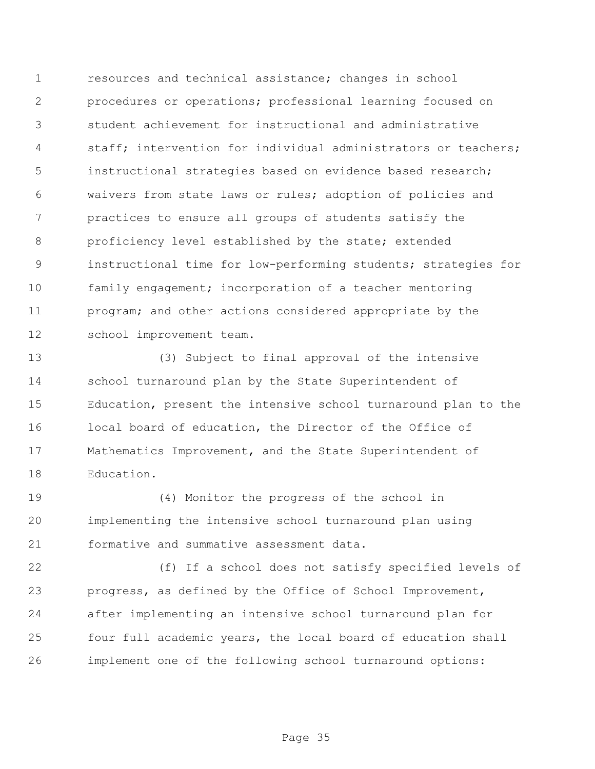resources and technical assistance; changes in school procedures or operations; professional learning focused on student achievement for instructional and administrative staff; intervention for individual administrators or teachers; instructional strategies based on evidence based research; waivers from state laws or rules; adoption of policies and practices to ensure all groups of students satisfy the proficiency level established by the state; extended instructional time for low-performing students; strategies for family engagement; incorporation of a teacher mentoring program; and other actions considered appropriate by the school improvement team.

 (3) Subject to final approval of the intensive school turnaround plan by the State Superintendent of Education, present the intensive school turnaround plan to the local board of education, the Director of the Office of Mathematics Improvement, and the State Superintendent of Education.

 (4) Monitor the progress of the school in implementing the intensive school turnaround plan using formative and summative assessment data.

 (f) If a school does not satisfy specified levels of progress, as defined by the Office of School Improvement, after implementing an intensive school turnaround plan for four full academic years, the local board of education shall implement one of the following school turnaround options: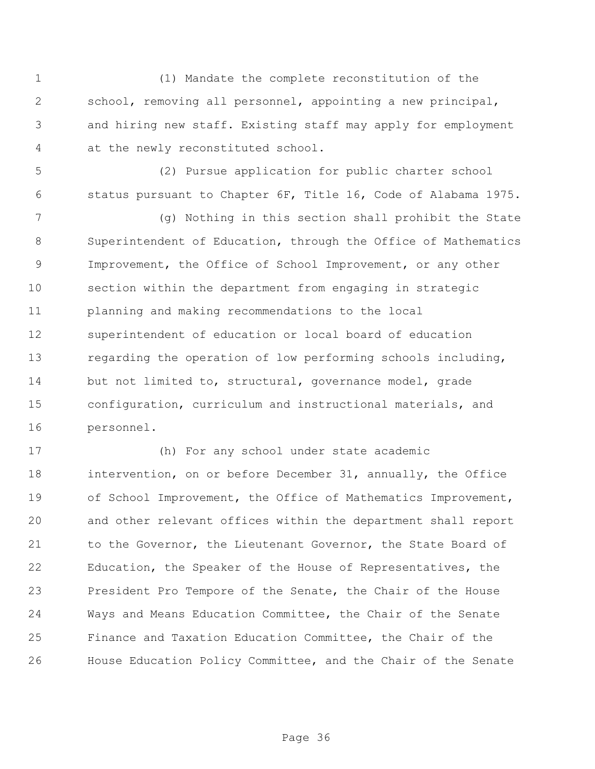(1) Mandate the complete reconstitution of the school, removing all personnel, appointing a new principal, and hiring new staff. Existing staff may apply for employment at the newly reconstituted school.

 (2) Pursue application for public charter school status pursuant to Chapter 6F, Title 16, Code of Alabama 1975.

 (g) Nothing in this section shall prohibit the State Superintendent of Education, through the Office of Mathematics Improvement, the Office of School Improvement, or any other section within the department from engaging in strategic planning and making recommendations to the local superintendent of education or local board of education regarding the operation of low performing schools including, but not limited to, structural, governance model, grade configuration, curriculum and instructional materials, and personnel.

 (h) For any school under state academic intervention, on or before December 31, annually, the Office of School Improvement, the Office of Mathematics Improvement, and other relevant offices within the department shall report 21 to the Governor, the Lieutenant Governor, the State Board of Education, the Speaker of the House of Representatives, the President Pro Tempore of the Senate, the Chair of the House Ways and Means Education Committee, the Chair of the Senate Finance and Taxation Education Committee, the Chair of the House Education Policy Committee, and the Chair of the Senate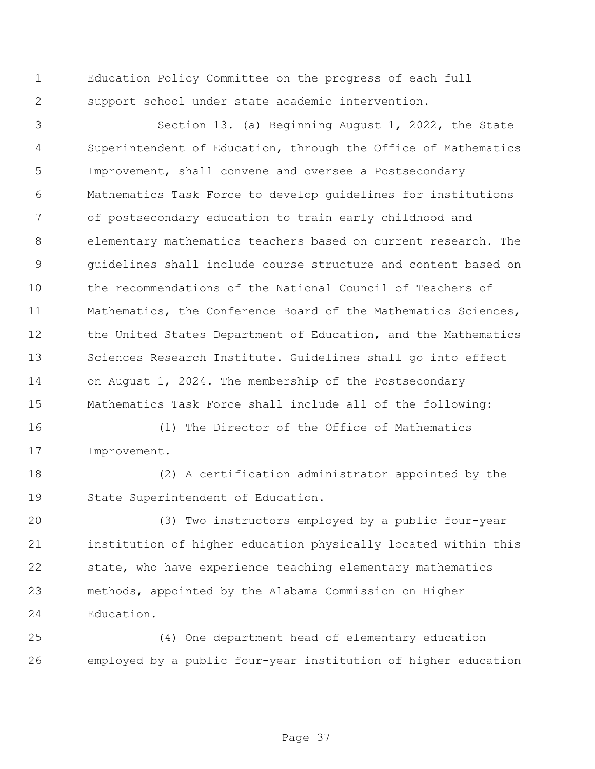Education Policy Committee on the progress of each full support school under state academic intervention.

 Section 13. (a) Beginning August 1, 2022, the State Superintendent of Education, through the Office of Mathematics Improvement, shall convene and oversee a Postsecondary Mathematics Task Force to develop guidelines for institutions of postsecondary education to train early childhood and elementary mathematics teachers based on current research. The guidelines shall include course structure and content based on the recommendations of the National Council of Teachers of Mathematics, the Conference Board of the Mathematics Sciences, the United States Department of Education, and the Mathematics Sciences Research Institute. Guidelines shall go into effect on August 1, 2024. The membership of the Postsecondary Mathematics Task Force shall include all of the following:

 (1) The Director of the Office of Mathematics Improvement.

 (2) A certification administrator appointed by the State Superintendent of Education.

 (3) Two instructors employed by a public four-year institution of higher education physically located within this state, who have experience teaching elementary mathematics methods, appointed by the Alabama Commission on Higher Education.

 (4) One department head of elementary education employed by a public four-year institution of higher education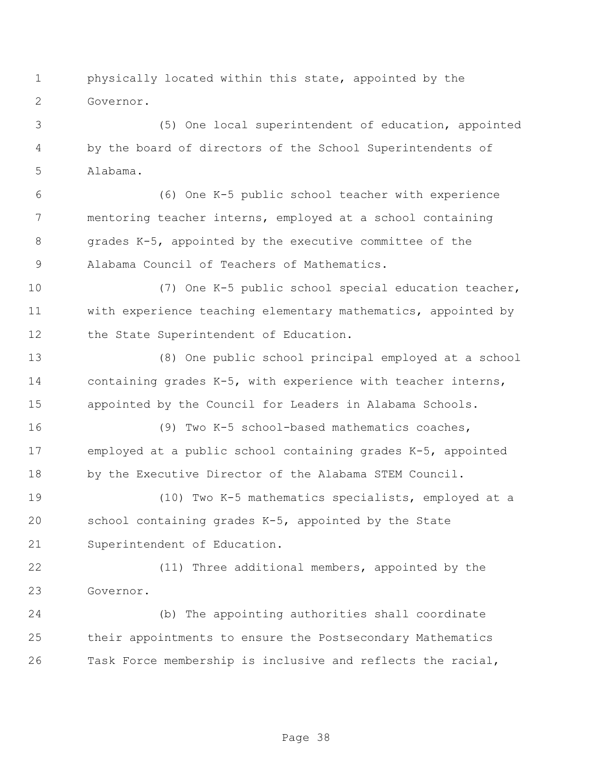physically located within this state, appointed by the Governor.

 (5) One local superintendent of education, appointed by the board of directors of the School Superintendents of Alabama.

 (6) One K-5 public school teacher with experience mentoring teacher interns, employed at a school containing grades K-5, appointed by the executive committee of the Alabama Council of Teachers of Mathematics.

 (7) One K-5 public school special education teacher, with experience teaching elementary mathematics, appointed by 12 the State Superintendent of Education.

 (8) One public school principal employed at a school containing grades K-5, with experience with teacher interns, appointed by the Council for Leaders in Alabama Schools.

 (9) Two K-5 school-based mathematics coaches, employed at a public school containing grades K-5, appointed by the Executive Director of the Alabama STEM Council.

 (10) Two K-5 mathematics specialists, employed at a school containing grades K-5, appointed by the State Superintendent of Education.

 (11) Three additional members, appointed by the Governor.

 (b) The appointing authorities shall coordinate their appointments to ensure the Postsecondary Mathematics Task Force membership is inclusive and reflects the racial,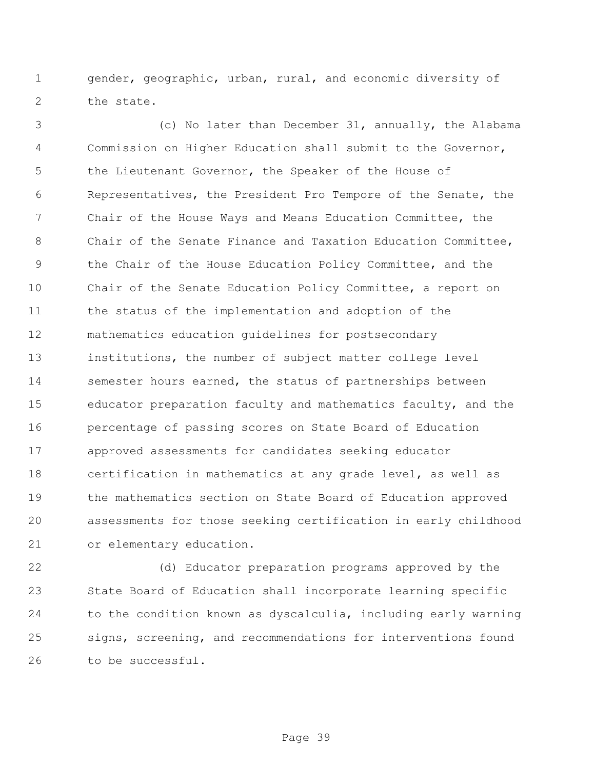gender, geographic, urban, rural, and economic diversity of 2 the state.

 (c) No later than December 31, annually, the Alabama Commission on Higher Education shall submit to the Governor, the Lieutenant Governor, the Speaker of the House of Representatives, the President Pro Tempore of the Senate, the Chair of the House Ways and Means Education Committee, the 8 Chair of the Senate Finance and Taxation Education Committee, the Chair of the House Education Policy Committee, and the Chair of the Senate Education Policy Committee, a report on the status of the implementation and adoption of the mathematics education guidelines for postsecondary institutions, the number of subject matter college level semester hours earned, the status of partnerships between educator preparation faculty and mathematics faculty, and the percentage of passing scores on State Board of Education approved assessments for candidates seeking educator certification in mathematics at any grade level, as well as the mathematics section on State Board of Education approved assessments for those seeking certification in early childhood or elementary education.

 (d) Educator preparation programs approved by the State Board of Education shall incorporate learning specific to the condition known as dyscalculia, including early warning signs, screening, and recommendations for interventions found to be successful.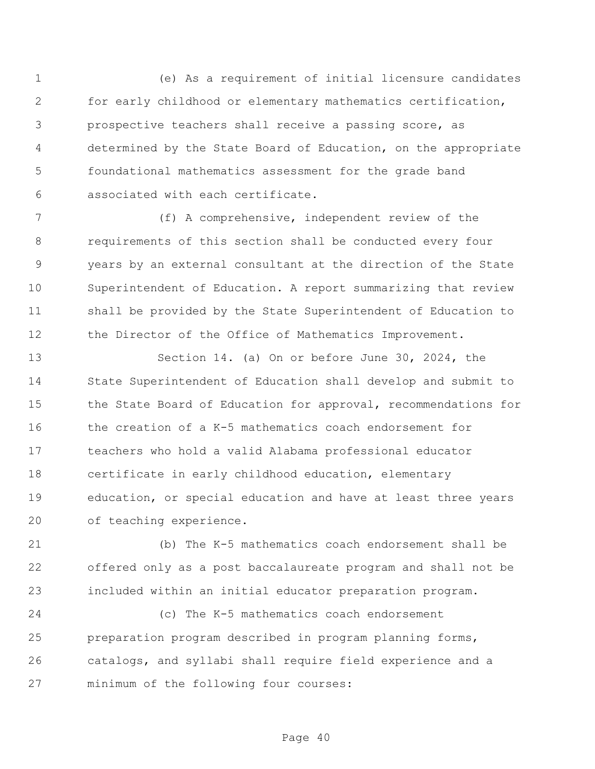(e) As a requirement of initial licensure candidates for early childhood or elementary mathematics certification, prospective teachers shall receive a passing score, as determined by the State Board of Education, on the appropriate foundational mathematics assessment for the grade band associated with each certificate.

 (f) A comprehensive, independent review of the requirements of this section shall be conducted every four years by an external consultant at the direction of the State Superintendent of Education. A report summarizing that review shall be provided by the State Superintendent of Education to 12 the Director of the Office of Mathematics Improvement.

 Section 14. (a) On or before June 30, 2024, the State Superintendent of Education shall develop and submit to the State Board of Education for approval, recommendations for the creation of a K-5 mathematics coach endorsement for teachers who hold a valid Alabama professional educator certificate in early childhood education, elementary education, or special education and have at least three years of teaching experience.

 (b) The K-5 mathematics coach endorsement shall be offered only as a post baccalaureate program and shall not be included within an initial educator preparation program.

 (c) The K-5 mathematics coach endorsement preparation program described in program planning forms, catalogs, and syllabi shall require field experience and a minimum of the following four courses: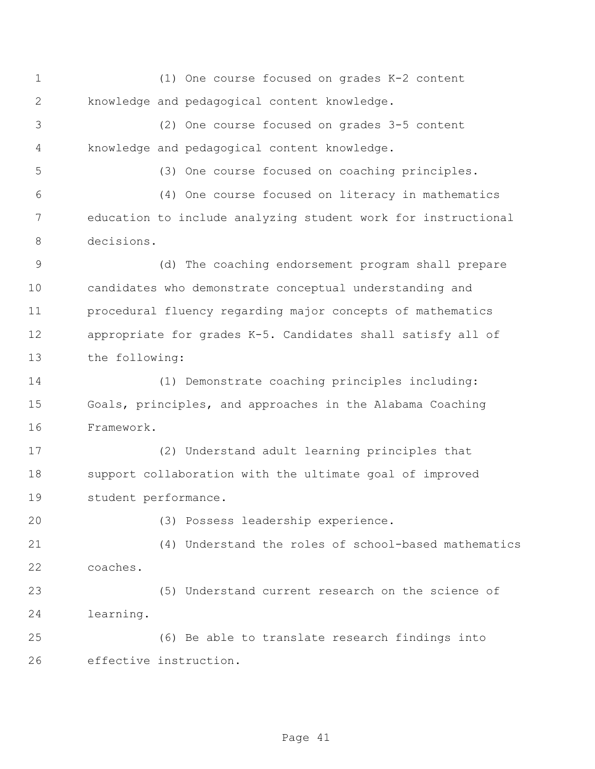(1) One course focused on grades K-2 content knowledge and pedagogical content knowledge.

 (2) One course focused on grades 3-5 content knowledge and pedagogical content knowledge.

(3) One course focused on coaching principles.

 (4) One course focused on literacy in mathematics education to include analyzing student work for instructional decisions.

 (d) The coaching endorsement program shall prepare candidates who demonstrate conceptual understanding and procedural fluency regarding major concepts of mathematics appropriate for grades K-5. Candidates shall satisfy all of the following:

 (1) Demonstrate coaching principles including: Goals, principles, and approaches in the Alabama Coaching Framework.

 (2) Understand adult learning principles that support collaboration with the ultimate goal of improved student performance.

(3) Possess leadership experience.

 (4) Understand the roles of school-based mathematics coaches.

 (5) Understand current research on the science of learning.

 (6) Be able to translate research findings into effective instruction.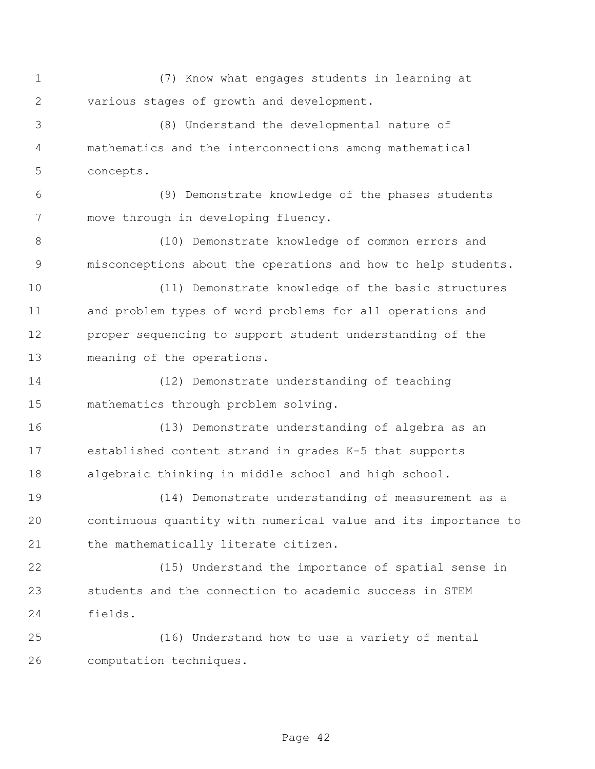(7) Know what engages students in learning at various stages of growth and development.

 (8) Understand the developmental nature of mathematics and the interconnections among mathematical concepts.

 (9) Demonstrate knowledge of the phases students move through in developing fluency.

 (10) Demonstrate knowledge of common errors and misconceptions about the operations and how to help students.

 (11) Demonstrate knowledge of the basic structures and problem types of word problems for all operations and proper sequencing to support student understanding of the meaning of the operations.

 (12) Demonstrate understanding of teaching mathematics through problem solving.

 (13) Demonstrate understanding of algebra as an established content strand in grades K-5 that supports algebraic thinking in middle school and high school.

 (14) Demonstrate understanding of measurement as a continuous quantity with numerical value and its importance to 21 the mathematically literate citizen.

 (15) Understand the importance of spatial sense in students and the connection to academic success in STEM fields.

 (16) Understand how to use a variety of mental computation techniques.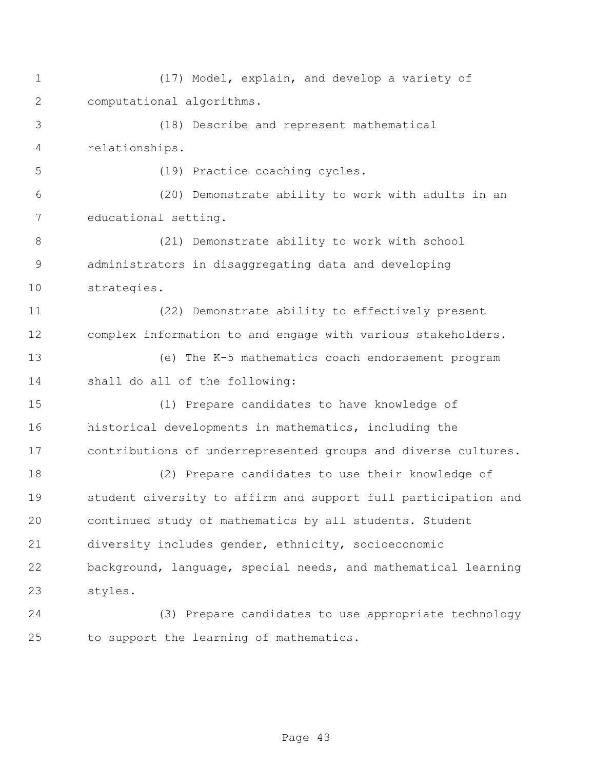(17) Model, explain, and develop a variety of computational algorithms. (18) Describe and represent mathematical relationships. (19) Practice coaching cycles. (20) Demonstrate ability to work with adults in an educational setting. (21) Demonstrate ability to work with school administrators in disaggregating data and developing strategies. (22) Demonstrate ability to effectively present complex information to and engage with various stakeholders. (e) The K-5 mathematics coach endorsement program shall do all of the following: (1) Prepare candidates to have knowledge of historical developments in mathematics, including the contributions of underrepresented groups and diverse cultures. (2) Prepare candidates to use their knowledge of student diversity to affirm and support full participation and continued study of mathematics by all students. Student diversity includes gender, ethnicity, socioeconomic background, language, special needs, and mathematical learning styles. (3) Prepare candidates to use appropriate technology to support the learning of mathematics.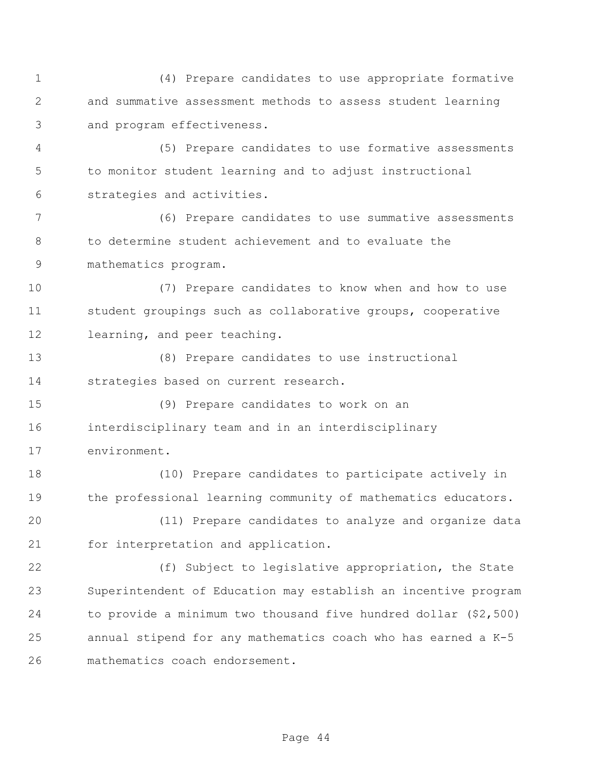(4) Prepare candidates to use appropriate formative and summative assessment methods to assess student learning and program effectiveness.

 (5) Prepare candidates to use formative assessments to monitor student learning and to adjust instructional strategies and activities.

 (6) Prepare candidates to use summative assessments to determine student achievement and to evaluate the mathematics program.

 (7) Prepare candidates to know when and how to use student groupings such as collaborative groups, cooperative learning, and peer teaching.

 (8) Prepare candidates to use instructional strategies based on current research.

 (9) Prepare candidates to work on an interdisciplinary team and in an interdisciplinary environment.

 (10) Prepare candidates to participate actively in the professional learning community of mathematics educators.

 (11) Prepare candidates to analyze and organize data for interpretation and application.

 (f) Subject to legislative appropriation, the State Superintendent of Education may establish an incentive program to provide a minimum two thousand five hundred dollar (\$2,500) annual stipend for any mathematics coach who has earned a K-5 mathematics coach endorsement.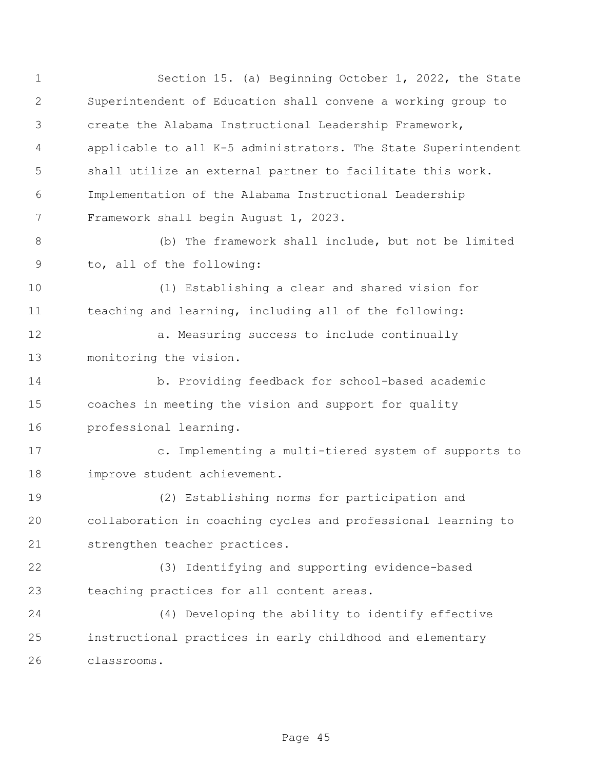Section 15. (a) Beginning October 1, 2022, the State Superintendent of Education shall convene a working group to create the Alabama Instructional Leadership Framework, applicable to all K-5 administrators. The State Superintendent shall utilize an external partner to facilitate this work. Implementation of the Alabama Instructional Leadership Framework shall begin August 1, 2023. (b) The framework shall include, but not be limited to, all of the following: (1) Establishing a clear and shared vision for teaching and learning, including all of the following: 12 a. Measuring success to include continually monitoring the vision. b. Providing feedback for school-based academic coaches in meeting the vision and support for quality professional learning. c. Implementing a multi-tiered system of supports to improve student achievement. (2) Establishing norms for participation and collaboration in coaching cycles and professional learning to strengthen teacher practices. (3) Identifying and supporting evidence-based teaching practices for all content areas. (4) Developing the ability to identify effective instructional practices in early childhood and elementary classrooms.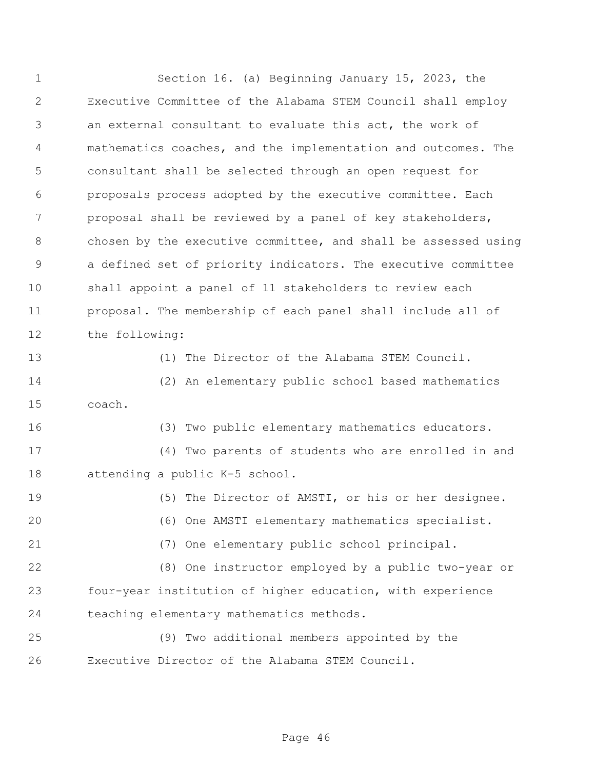Section 16. (a) Beginning January 15, 2023, the Executive Committee of the Alabama STEM Council shall employ an external consultant to evaluate this act, the work of mathematics coaches, and the implementation and outcomes. The consultant shall be selected through an open request for proposals process adopted by the executive committee. Each proposal shall be reviewed by a panel of key stakeholders, chosen by the executive committee, and shall be assessed using a defined set of priority indicators. The executive committee shall appoint a panel of 11 stakeholders to review each proposal. The membership of each panel shall include all of the following: (1) The Director of the Alabama STEM Council. (2) An elementary public school based mathematics coach. (3) Two public elementary mathematics educators. (4) Two parents of students who are enrolled in and attending a public K-5 school. (5) The Director of AMSTI, or his or her designee. (6) One AMSTI elementary mathematics specialist. (7) One elementary public school principal. (8) One instructor employed by a public two-year or four-year institution of higher education, with experience teaching elementary mathematics methods. (9) Two additional members appointed by the Executive Director of the Alabama STEM Council.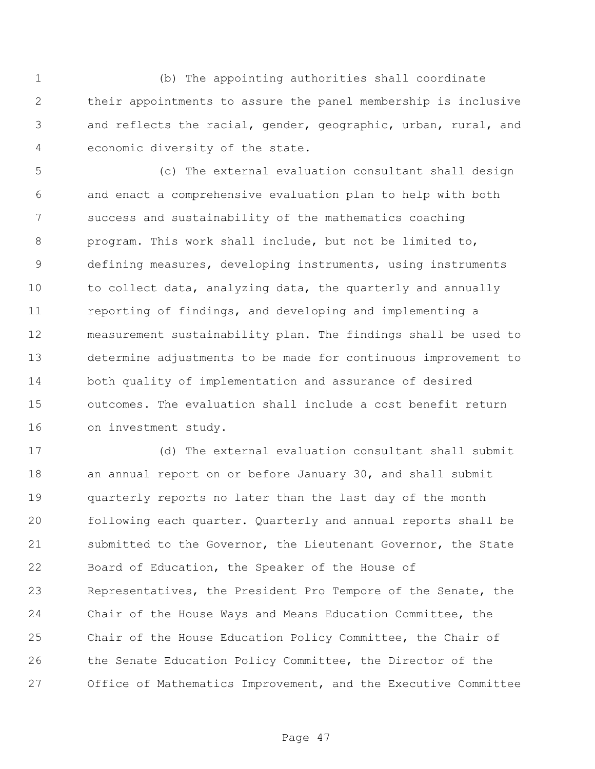(b) The appointing authorities shall coordinate their appointments to assure the panel membership is inclusive and reflects the racial, gender, geographic, urban, rural, and economic diversity of the state.

 (c) The external evaluation consultant shall design and enact a comprehensive evaluation plan to help with both success and sustainability of the mathematics coaching program. This work shall include, but not be limited to, defining measures, developing instruments, using instruments to collect data, analyzing data, the quarterly and annually reporting of findings, and developing and implementing a measurement sustainability plan. The findings shall be used to determine adjustments to be made for continuous improvement to both quality of implementation and assurance of desired outcomes. The evaluation shall include a cost benefit return on investment study.

 (d) The external evaluation consultant shall submit 18 an annual report on or before January 30, and shall submit quarterly reports no later than the last day of the month following each quarter. Quarterly and annual reports shall be submitted to the Governor, the Lieutenant Governor, the State Board of Education, the Speaker of the House of Representatives, the President Pro Tempore of the Senate, the Chair of the House Ways and Means Education Committee, the Chair of the House Education Policy Committee, the Chair of the Senate Education Policy Committee, the Director of the Office of Mathematics Improvement, and the Executive Committee

Page 47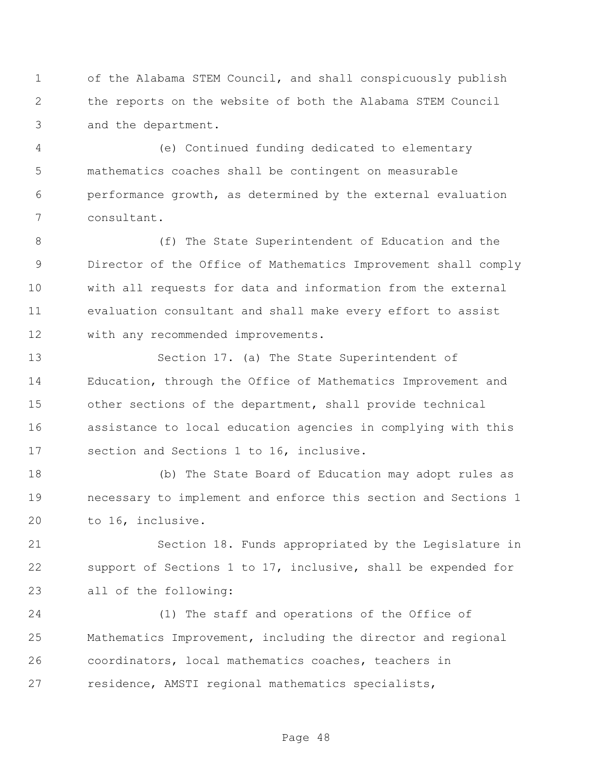of the Alabama STEM Council, and shall conspicuously publish the reports on the website of both the Alabama STEM Council and the department.

 (e) Continued funding dedicated to elementary mathematics coaches shall be contingent on measurable performance growth, as determined by the external evaluation consultant.

8 (f) The State Superintendent of Education and the Director of the Office of Mathematics Improvement shall comply with all requests for data and information from the external evaluation consultant and shall make every effort to assist with any recommended improvements.

 Section 17. (a) The State Superintendent of Education, through the Office of Mathematics Improvement and other sections of the department, shall provide technical assistance to local education agencies in complying with this section and Sections 1 to 16, inclusive.

 (b) The State Board of Education may adopt rules as necessary to implement and enforce this section and Sections 1 to 16, inclusive.

 Section 18. Funds appropriated by the Legislature in support of Sections 1 to 17, inclusive, shall be expended for all of the following:

 (1) The staff and operations of the Office of Mathematics Improvement, including the director and regional coordinators, local mathematics coaches, teachers in residence, AMSTI regional mathematics specialists,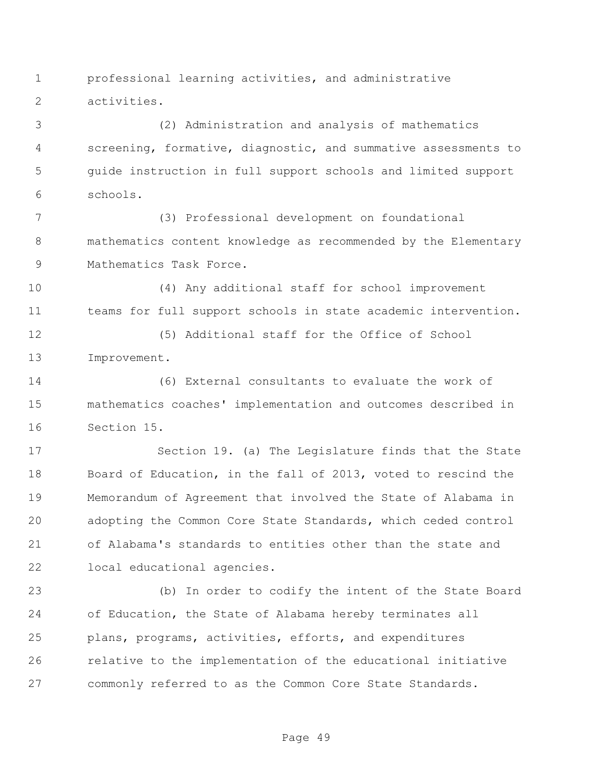professional learning activities, and administrative activities.

 (2) Administration and analysis of mathematics screening, formative, diagnostic, and summative assessments to guide instruction in full support schools and limited support schools.

 (3) Professional development on foundational mathematics content knowledge as recommended by the Elementary Mathematics Task Force.

 (4) Any additional staff for school improvement teams for full support schools in state academic intervention.

 (5) Additional staff for the Office of School Improvement.

 (6) External consultants to evaluate the work of mathematics coaches' implementation and outcomes described in Section 15.

 Section 19. (a) The Legislature finds that the State 18 Board of Education, in the fall of 2013, voted to rescind the Memorandum of Agreement that involved the State of Alabama in adopting the Common Core State Standards, which ceded control of Alabama's standards to entities other than the state and local educational agencies.

 (b) In order to codify the intent of the State Board of Education, the State of Alabama hereby terminates all plans, programs, activities, efforts, and expenditures relative to the implementation of the educational initiative commonly referred to as the Common Core State Standards.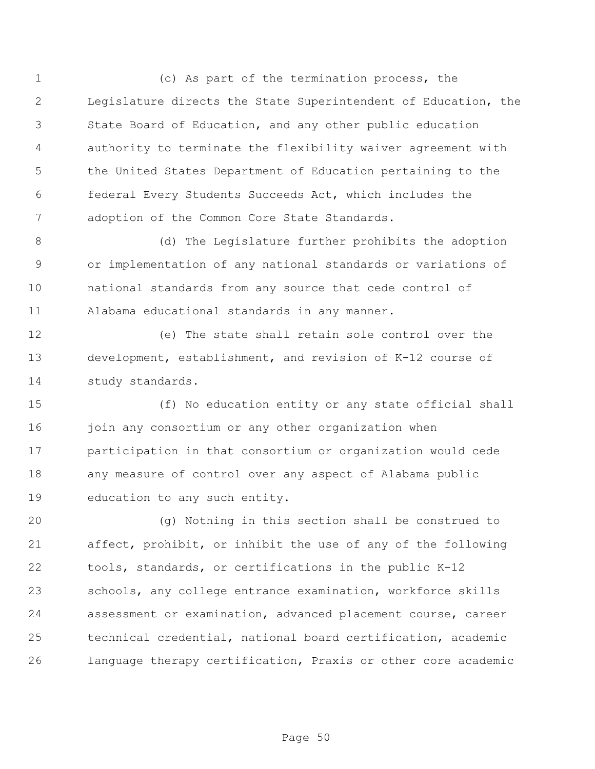(c) As part of the termination process, the Legislature directs the State Superintendent of Education, the State Board of Education, and any other public education authority to terminate the flexibility waiver agreement with the United States Department of Education pertaining to the federal Every Students Succeeds Act, which includes the adoption of the Common Core State Standards.

 (d) The Legislature further prohibits the adoption or implementation of any national standards or variations of national standards from any source that cede control of Alabama educational standards in any manner.

 (e) The state shall retain sole control over the development, establishment, and revision of K-12 course of study standards.

 (f) No education entity or any state official shall 16 join any consortium or any other organization when participation in that consortium or organization would cede any measure of control over any aspect of Alabama public education to any such entity.

 (g) Nothing in this section shall be construed to affect, prohibit, or inhibit the use of any of the following tools, standards, or certifications in the public K-12 schools, any college entrance examination, workforce skills assessment or examination, advanced placement course, career technical credential, national board certification, academic language therapy certification, Praxis or other core academic

Page 50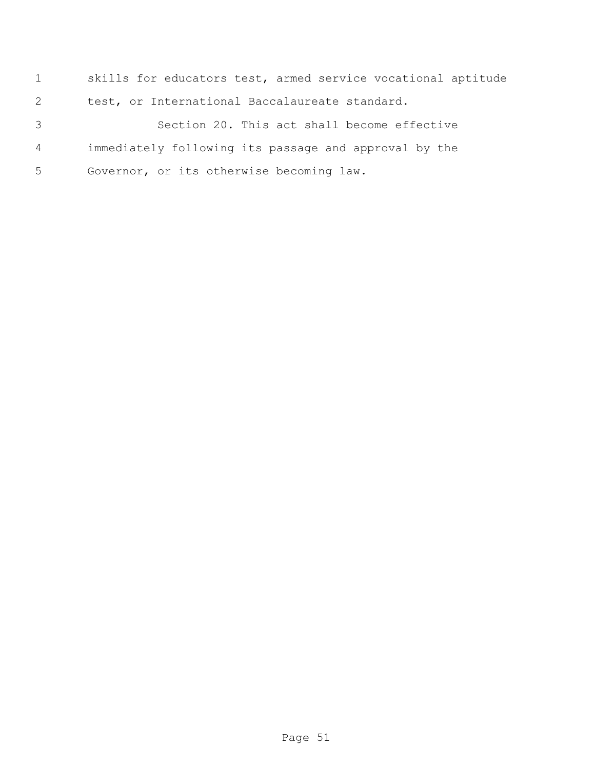skills for educators test, armed service vocational aptitude test, or International Baccalaureate standard.

 Section 20. This act shall become effective immediately following its passage and approval by the Governor, or its otherwise becoming law.